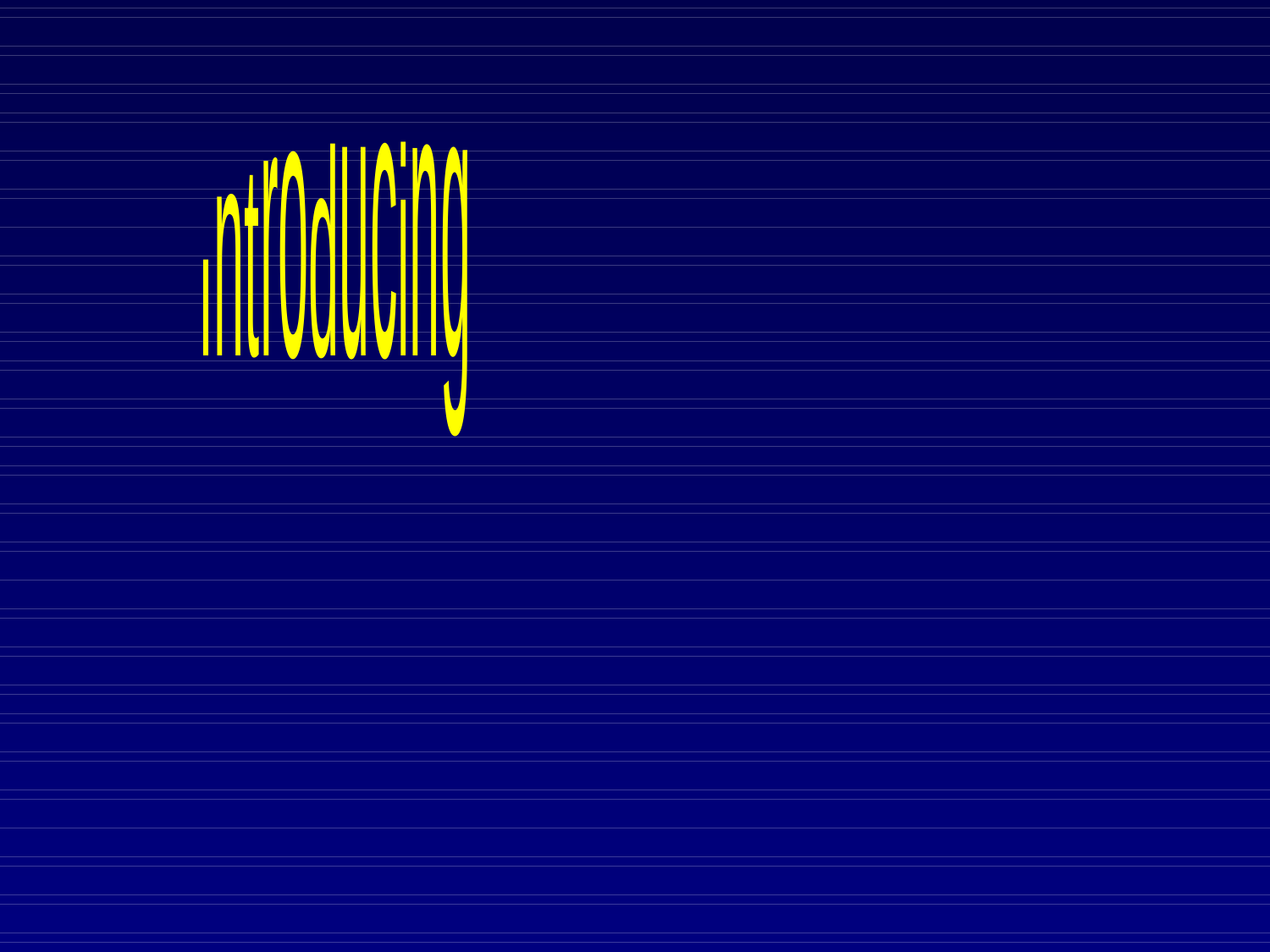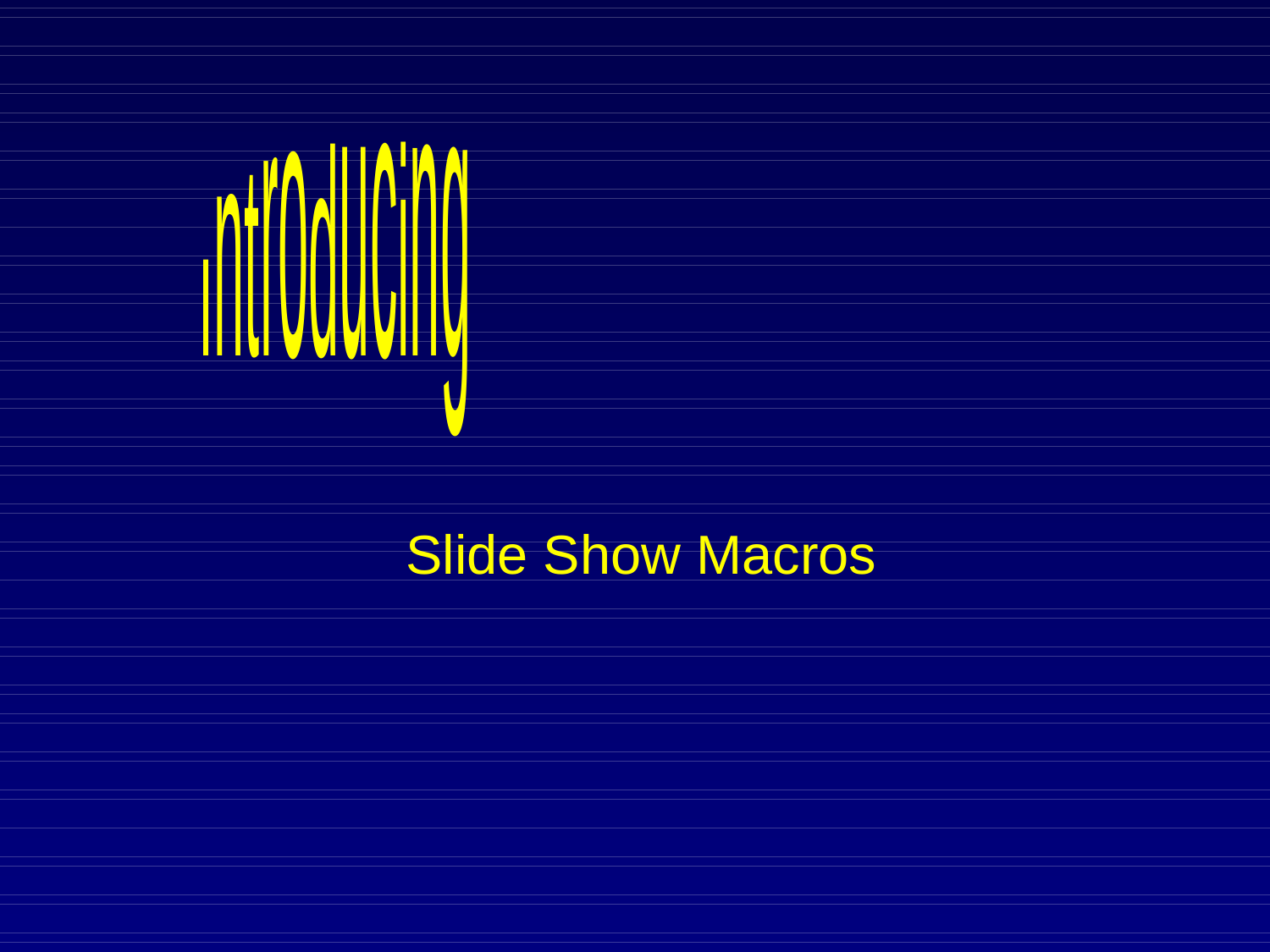

# Slide Show Macros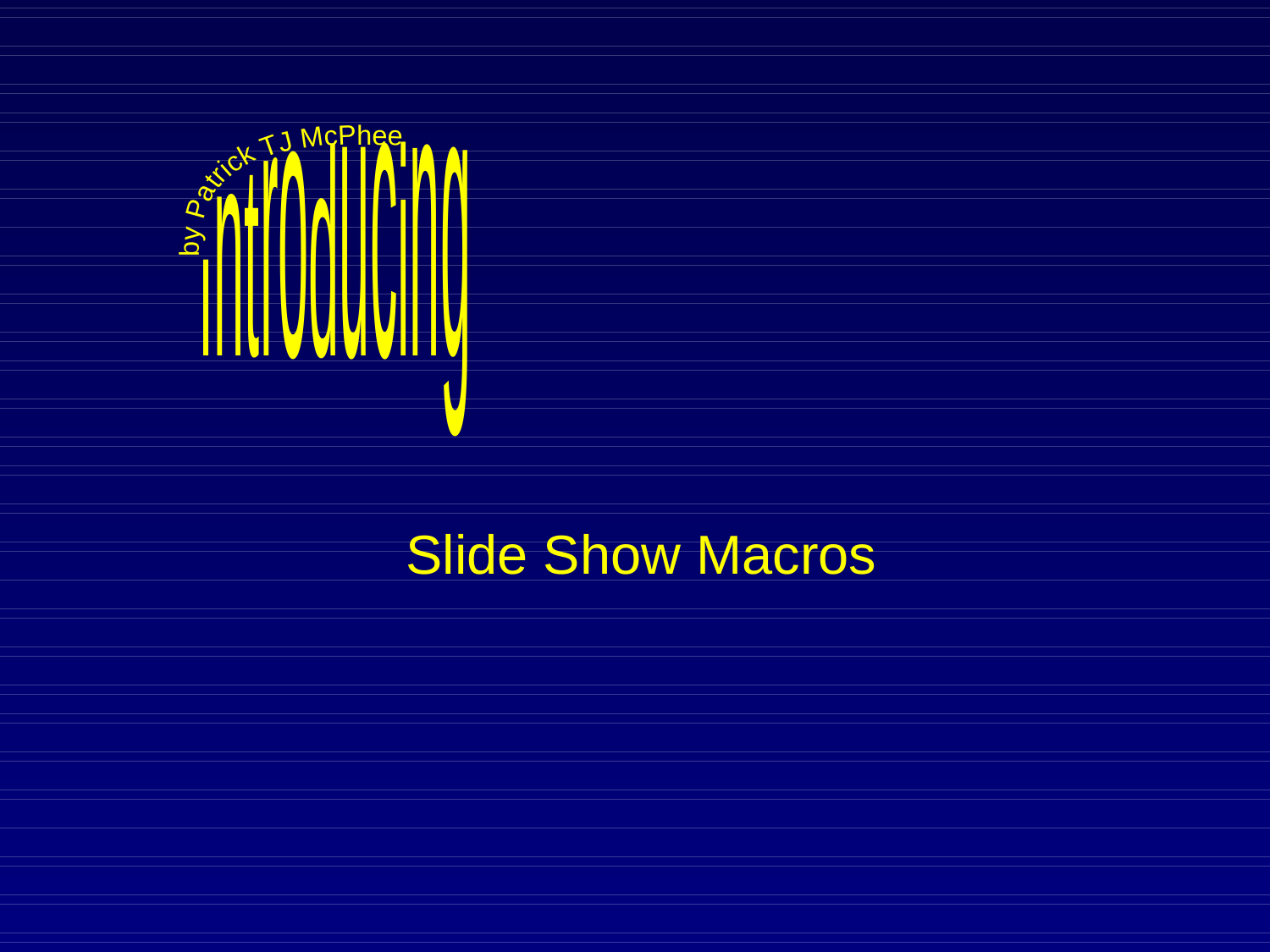<span id="page-2-0"></span>

# Slide Show Macros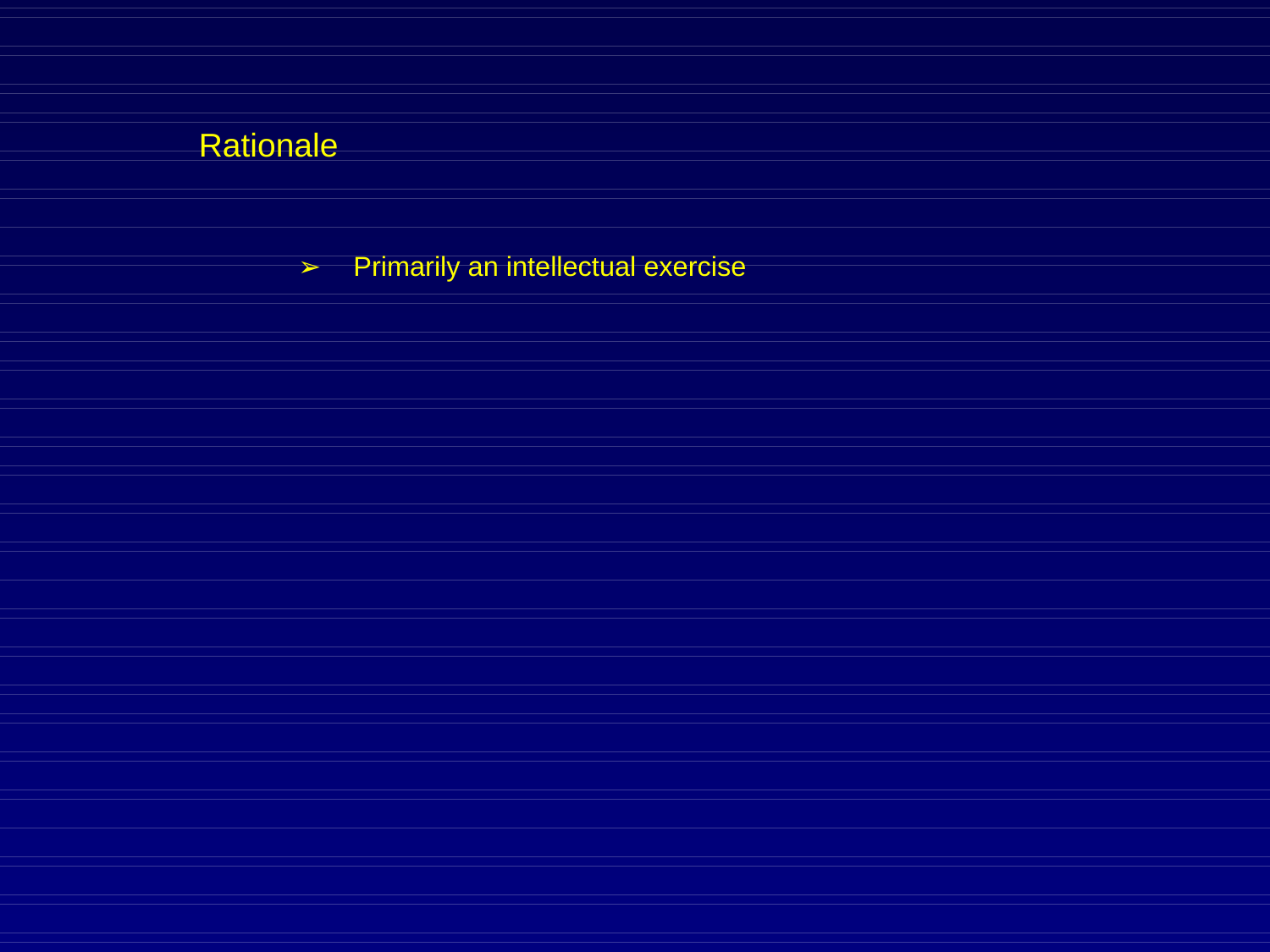➢ Primarily an intellectual exercise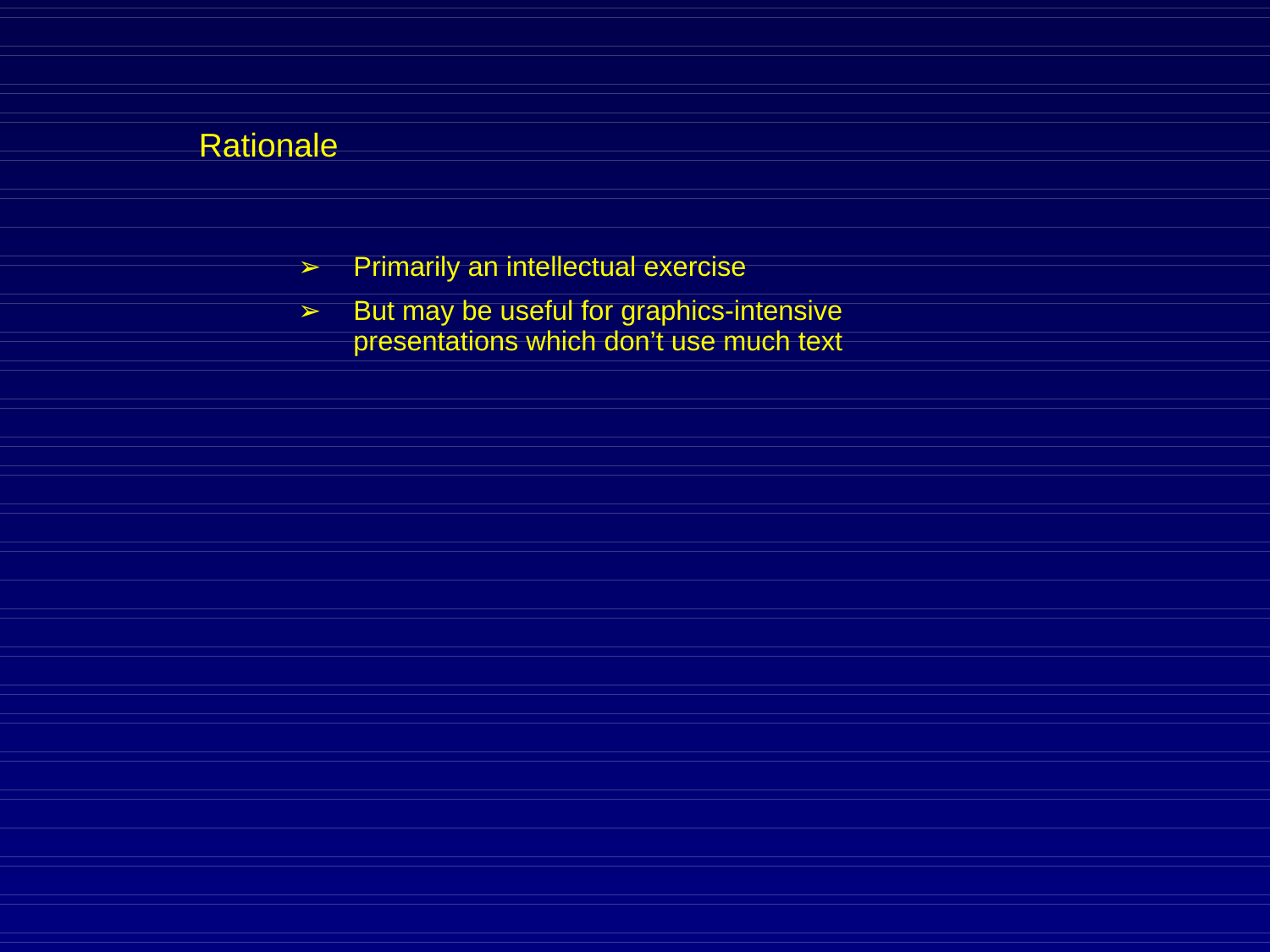- ➢ Primarily an intellectual exercise
- ➢ But may be useful for graphics-intensive presentations which don't use much text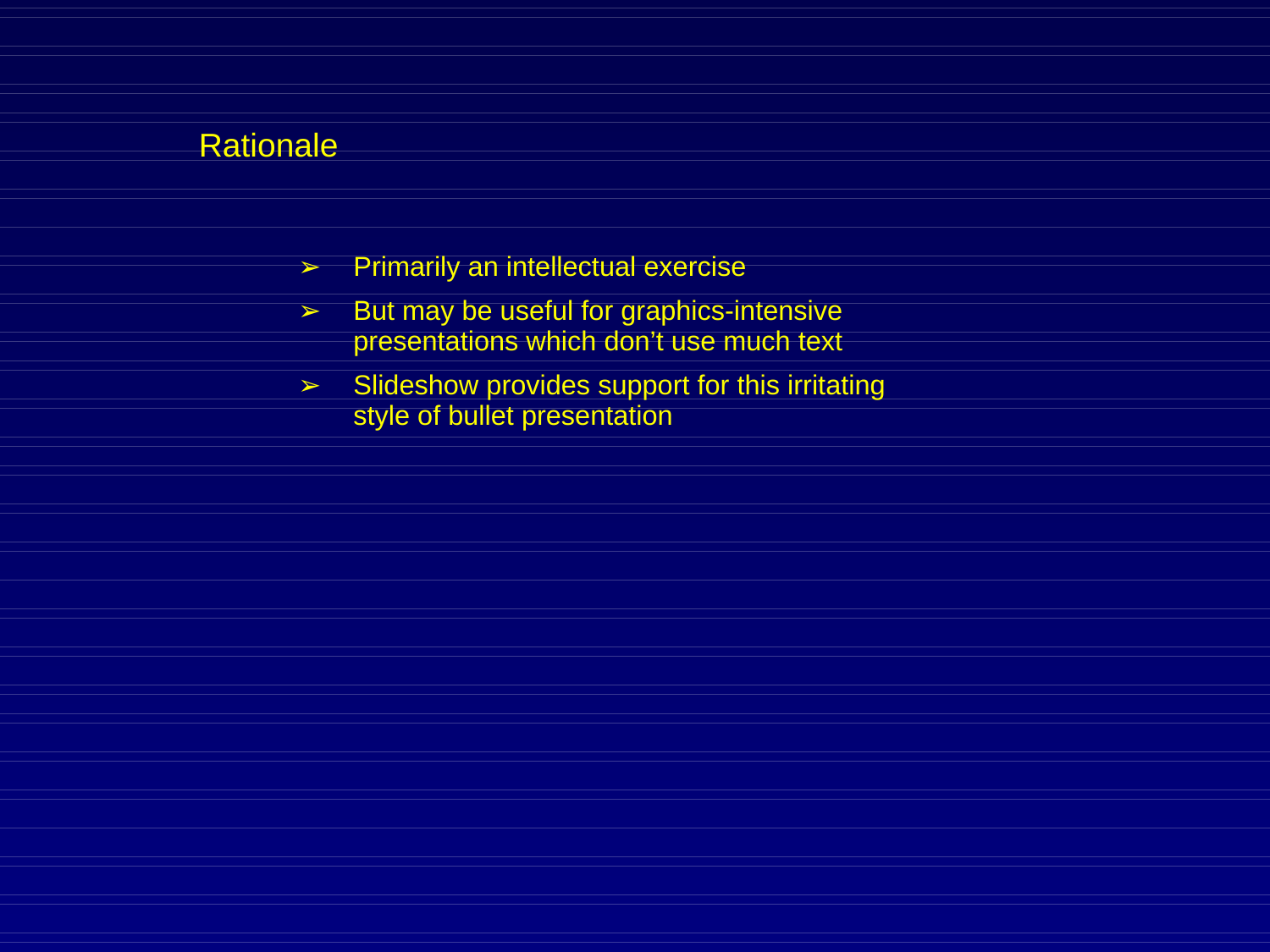- ➢ Primarily an intellectual exercise
- ➢ But may be useful for graphics-intensive presentations which don't use much text
- $\geq$  Slideshow provides support for this irritating style of bullet presentation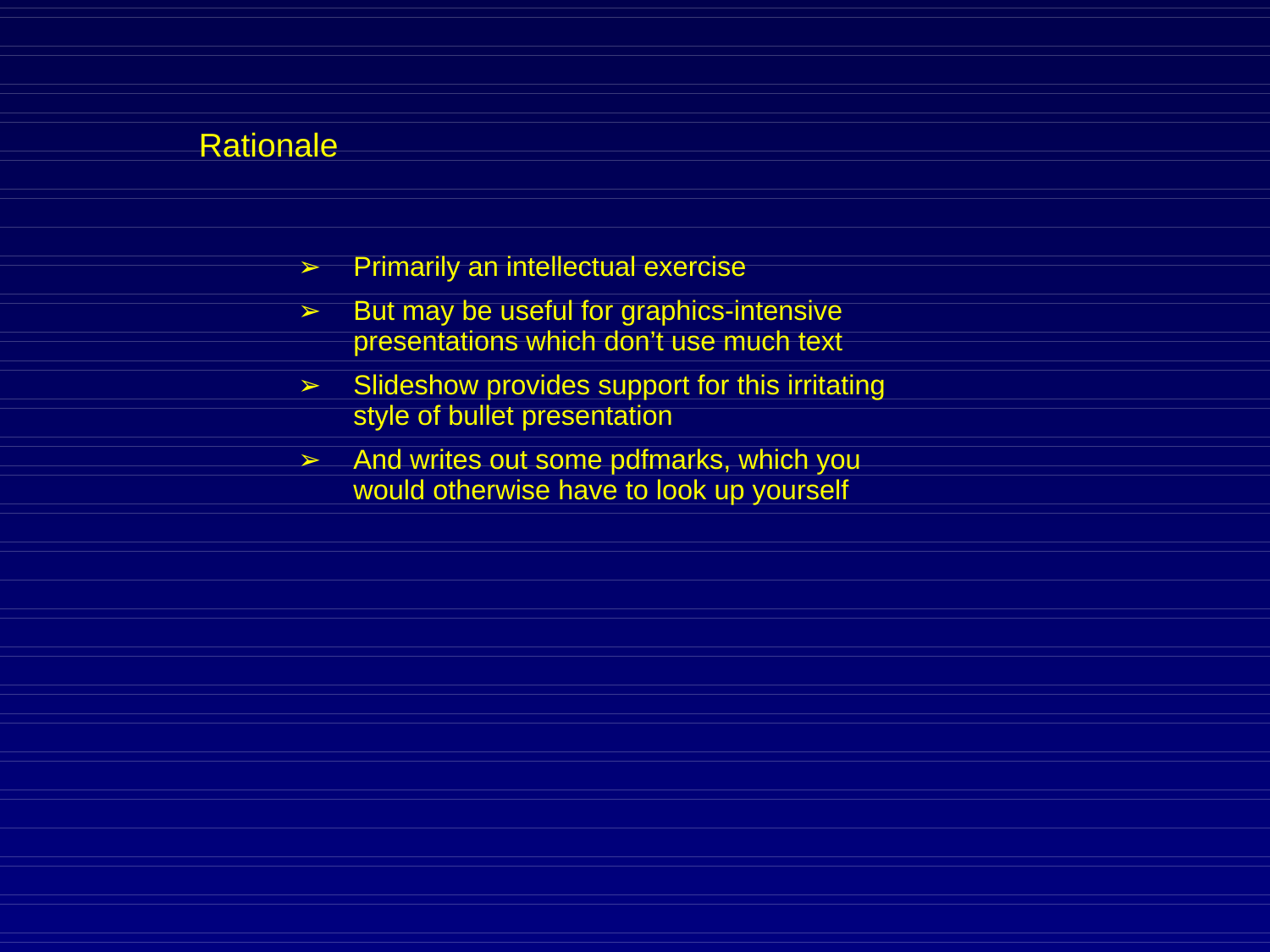- ➢ Primarily an intellectual exercise
- $\geq$  But may be useful for graphics-intensive presentations which don't use much text
- ➢ Slideshow provides support for this irritating style of bullet presentation
- $\geq$  And writes out some pdfmarks, which you would otherwise have to look up yourself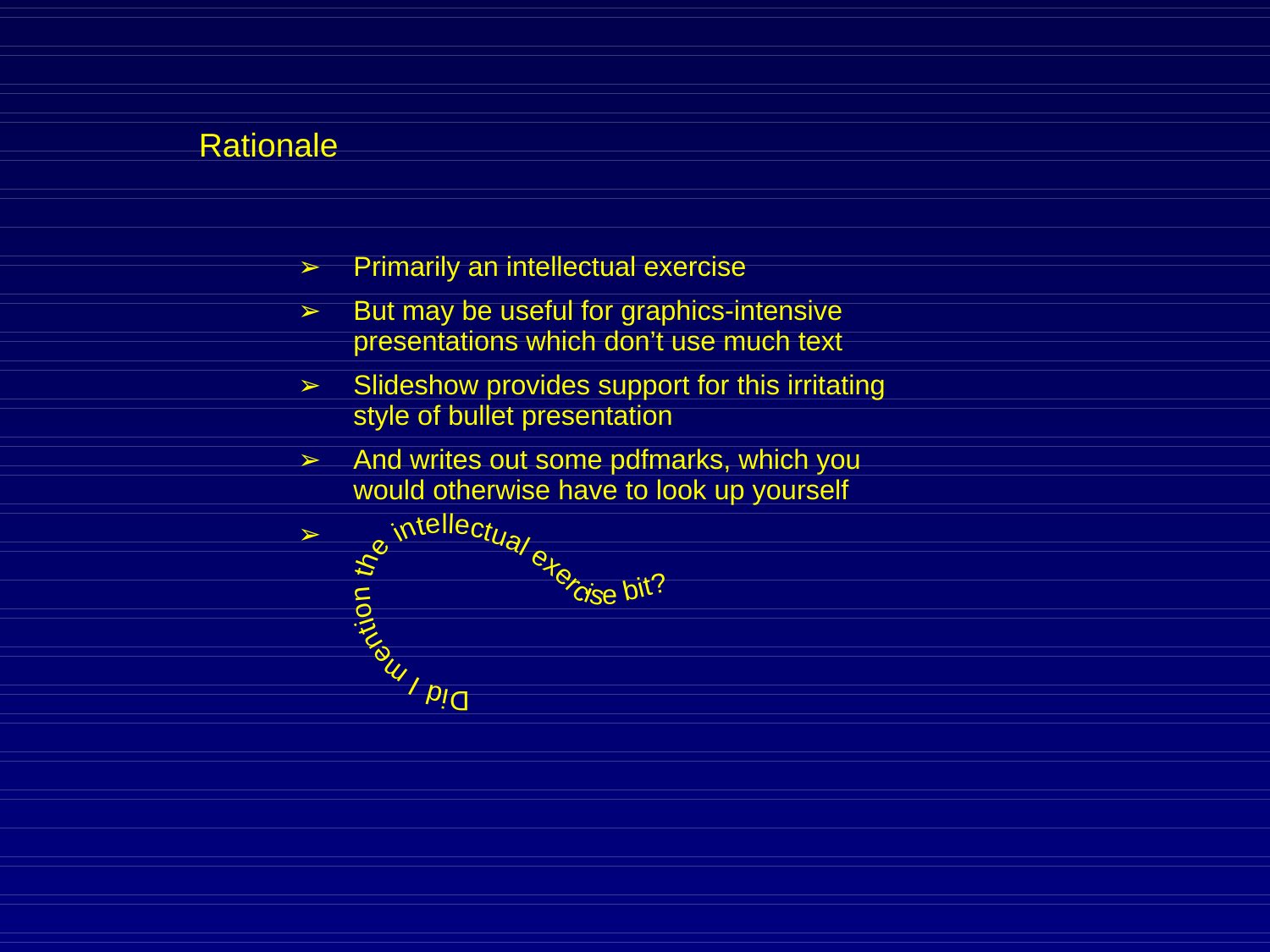- ➢ Primarily an intellectual exercise
- $\geq$  But may be useful for graphics-intensive presentations which don't use much text
- $\geq$  Slideshow provides support for this irritating style of bullet presentation
- $\triangleright$  And writes out some pdfmarks, which you would otherwise have to look up yourself

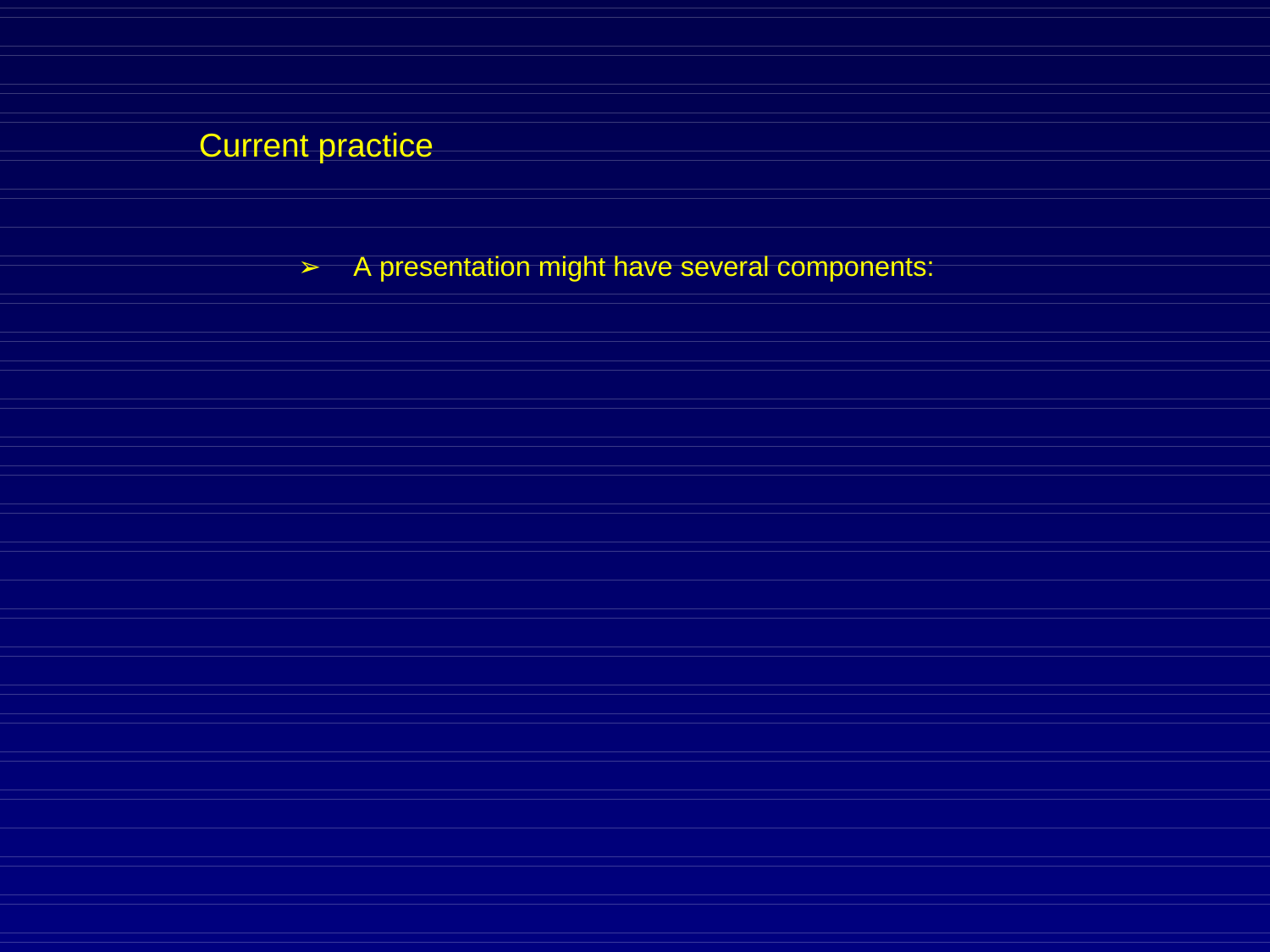➢ A presentation might have several components: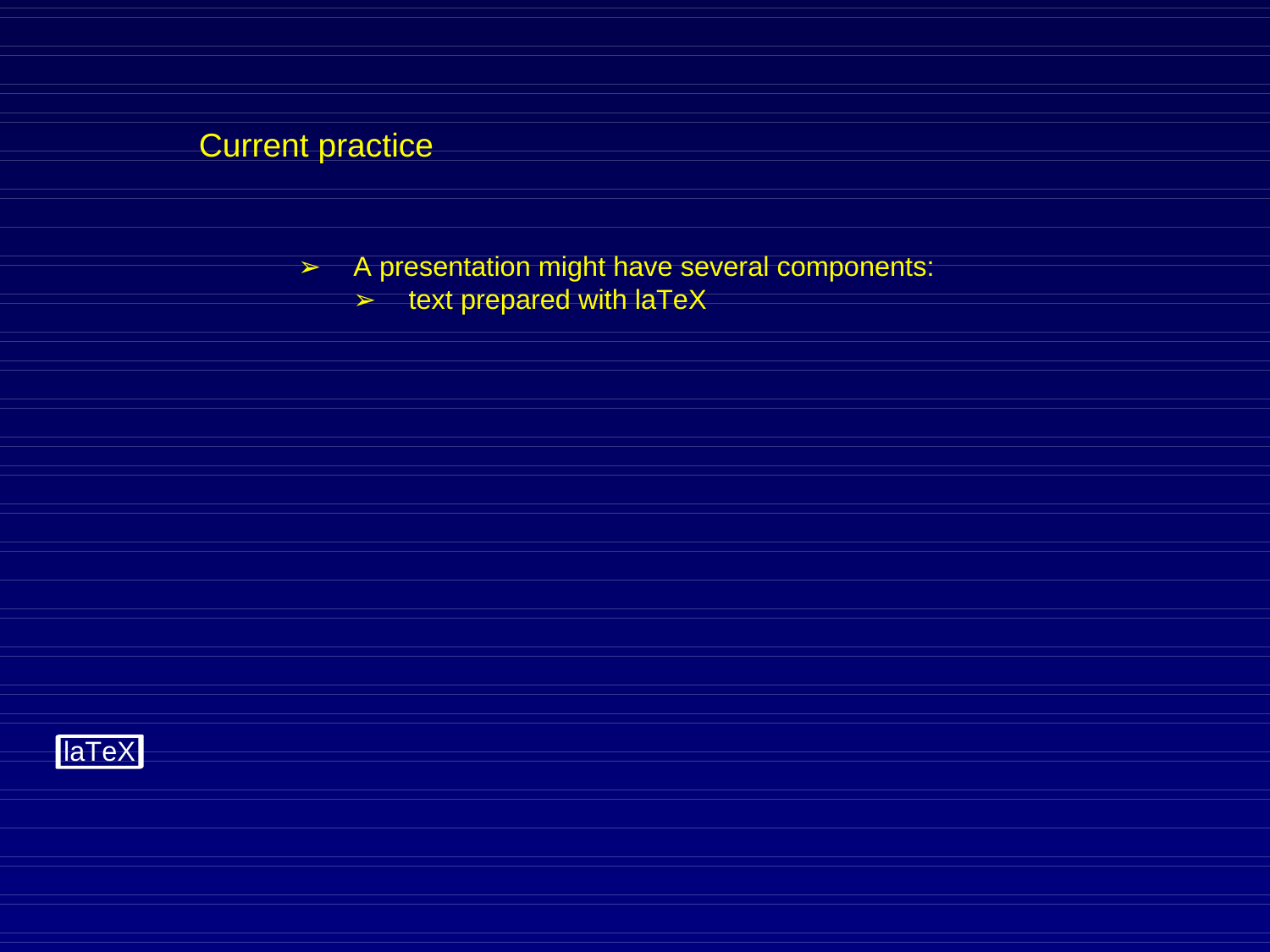➢ A presentation might have several components:

 $\triangleright$  text prepared with laTeX

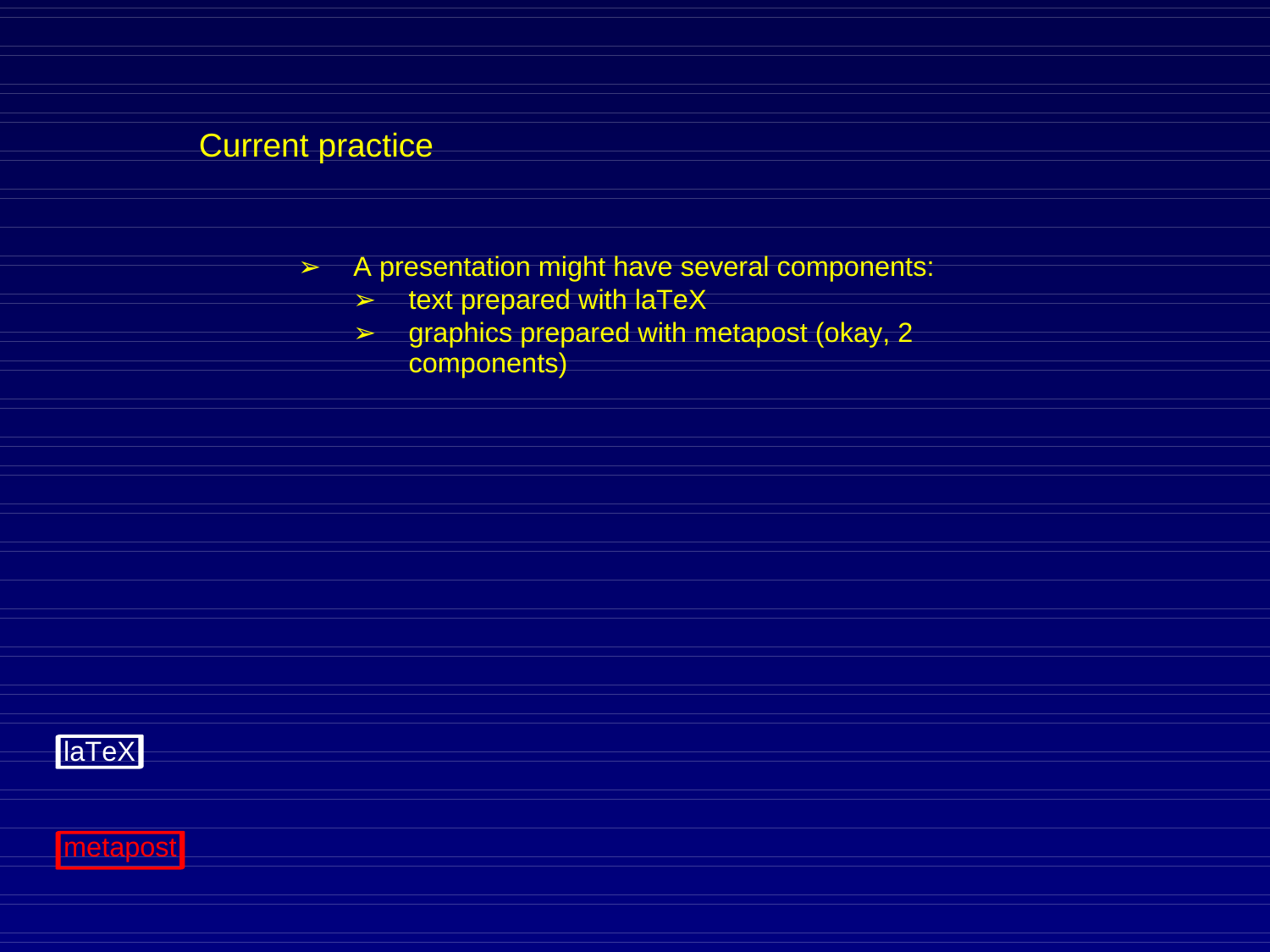- ➢ A presentation might have several components:
	- $\blacktriangleright$  text prepared with laTeX
	- ➢ graphics prepared with metapost (okay, 2 components)



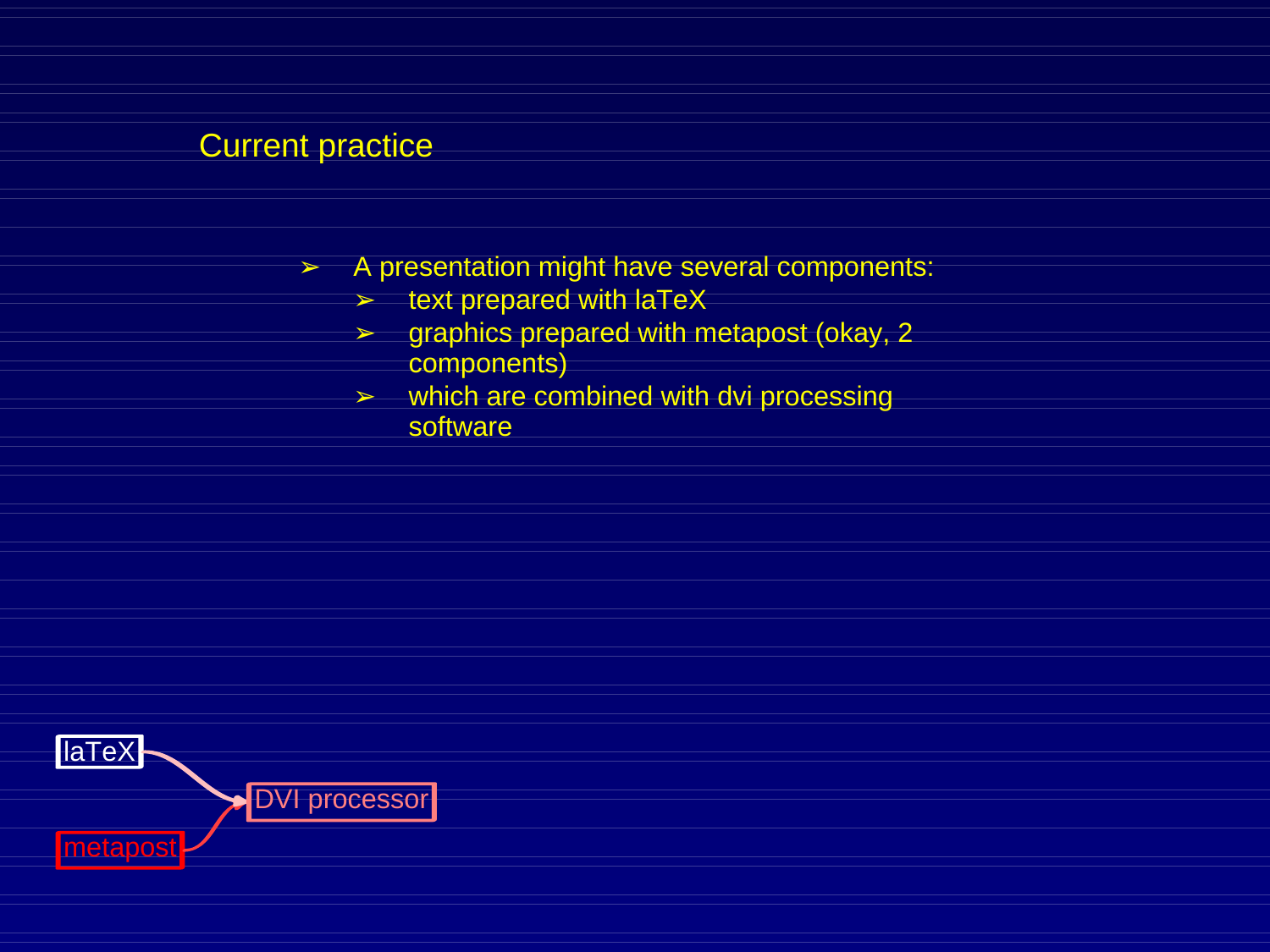- $\triangleright$  A presentation might have several components:
	- $\triangleright$  text prepared with laTeX
	- $\geq$  graphics prepared with metapost (okay, 2 components)
	- $\triangleright$  which are combined with dvi processing software

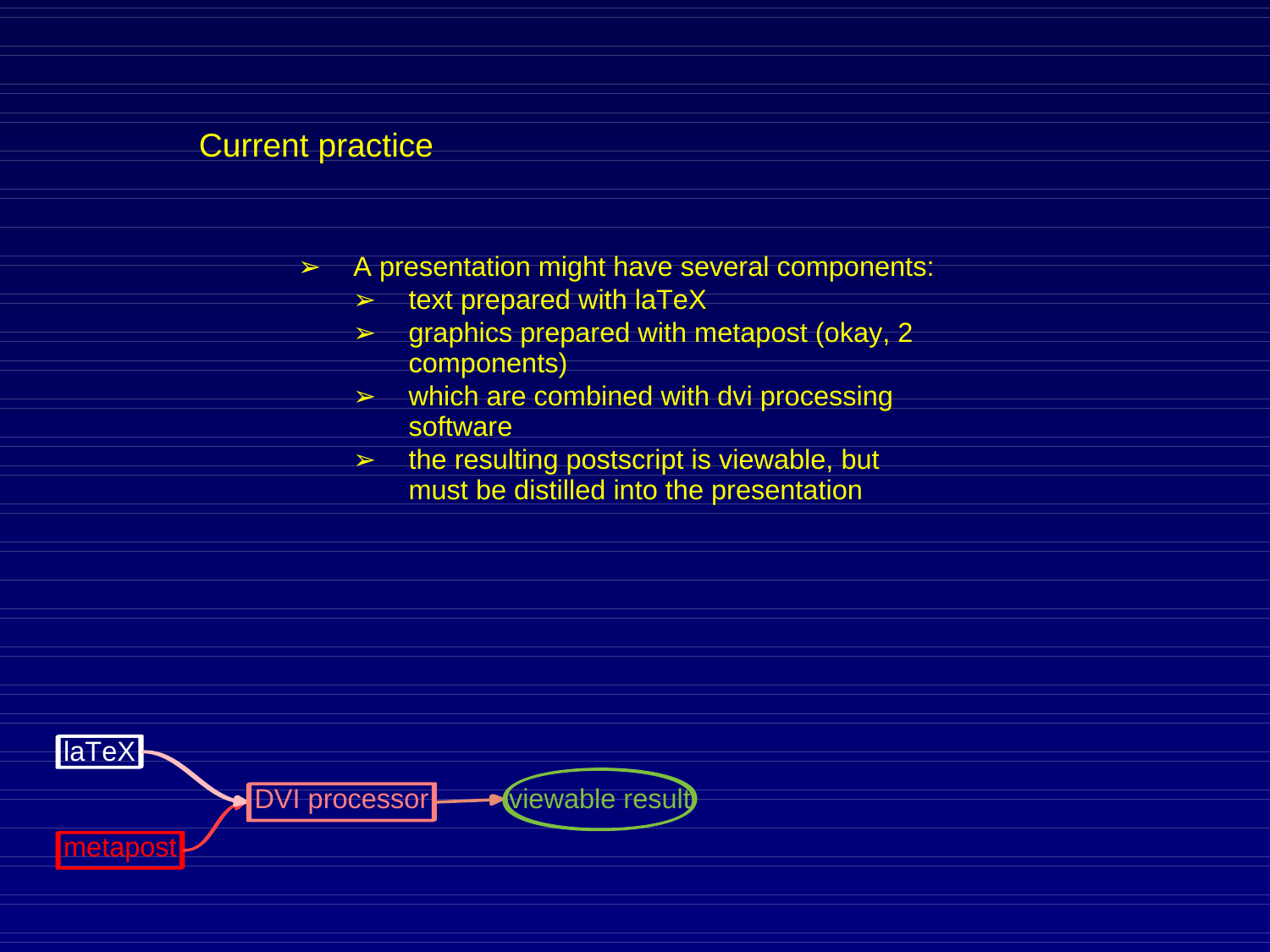- ➢ A presentation might have several components:
	- $\blacktriangleright$  text prepared with laTeX
	- $\triangleright$  graphics prepared with metapost (okay, 2) components)
	- $\triangleright$  which are combined with dvi processing software
	- $\triangleright$  the resulting postscript is viewable, but must be distilled into the presentation

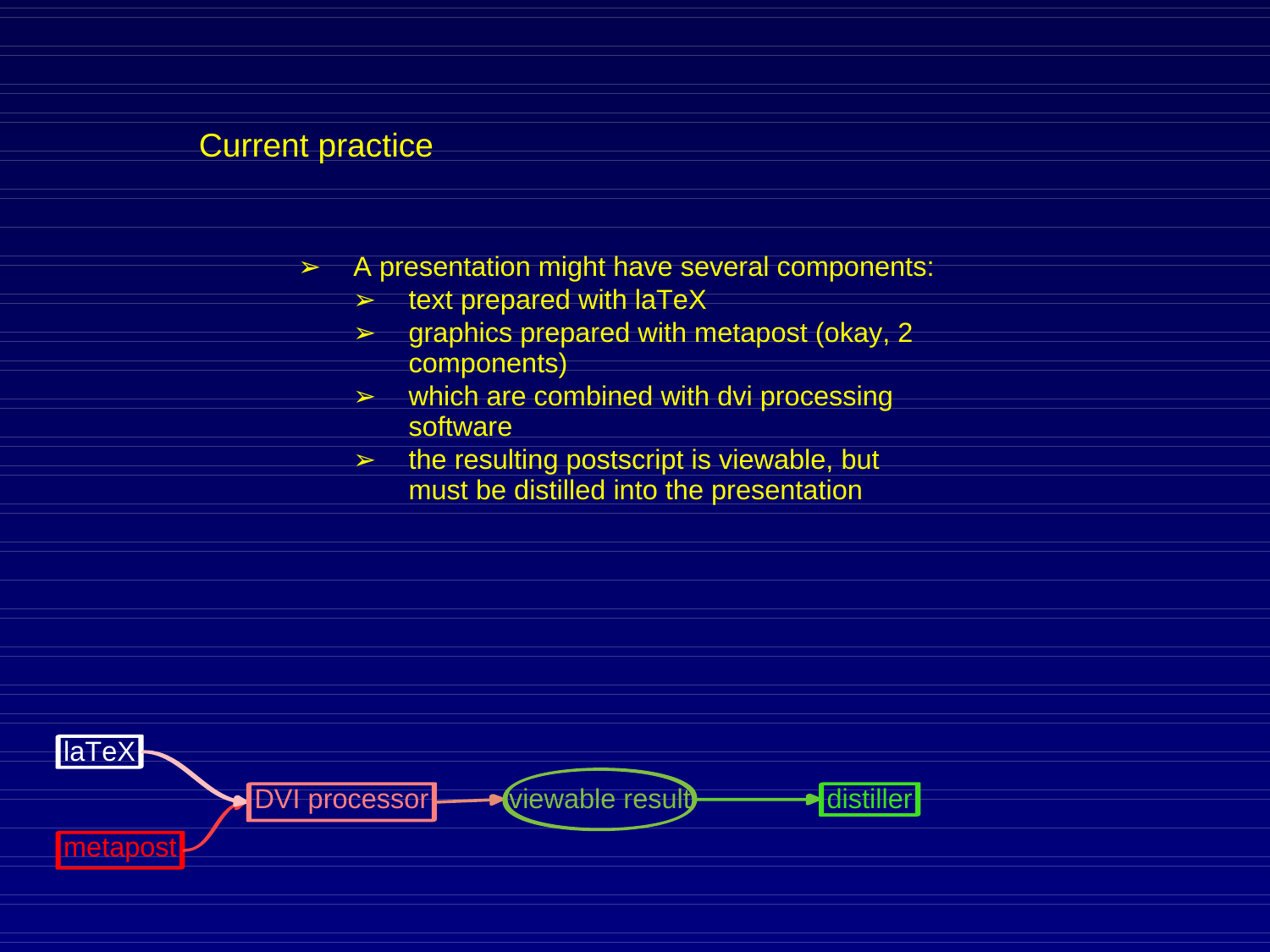- $\triangleright$  A presentation might have several components:
	- $\blacktriangleright$  text prepared with laTeX
	- $\triangleright$  graphics prepared with metapost (okay, 2) components)
	- $\triangleright$  which are combined with dvi processing software
	- $\triangleright$  the resulting postscript is viewable, but must be distilled into the presentation

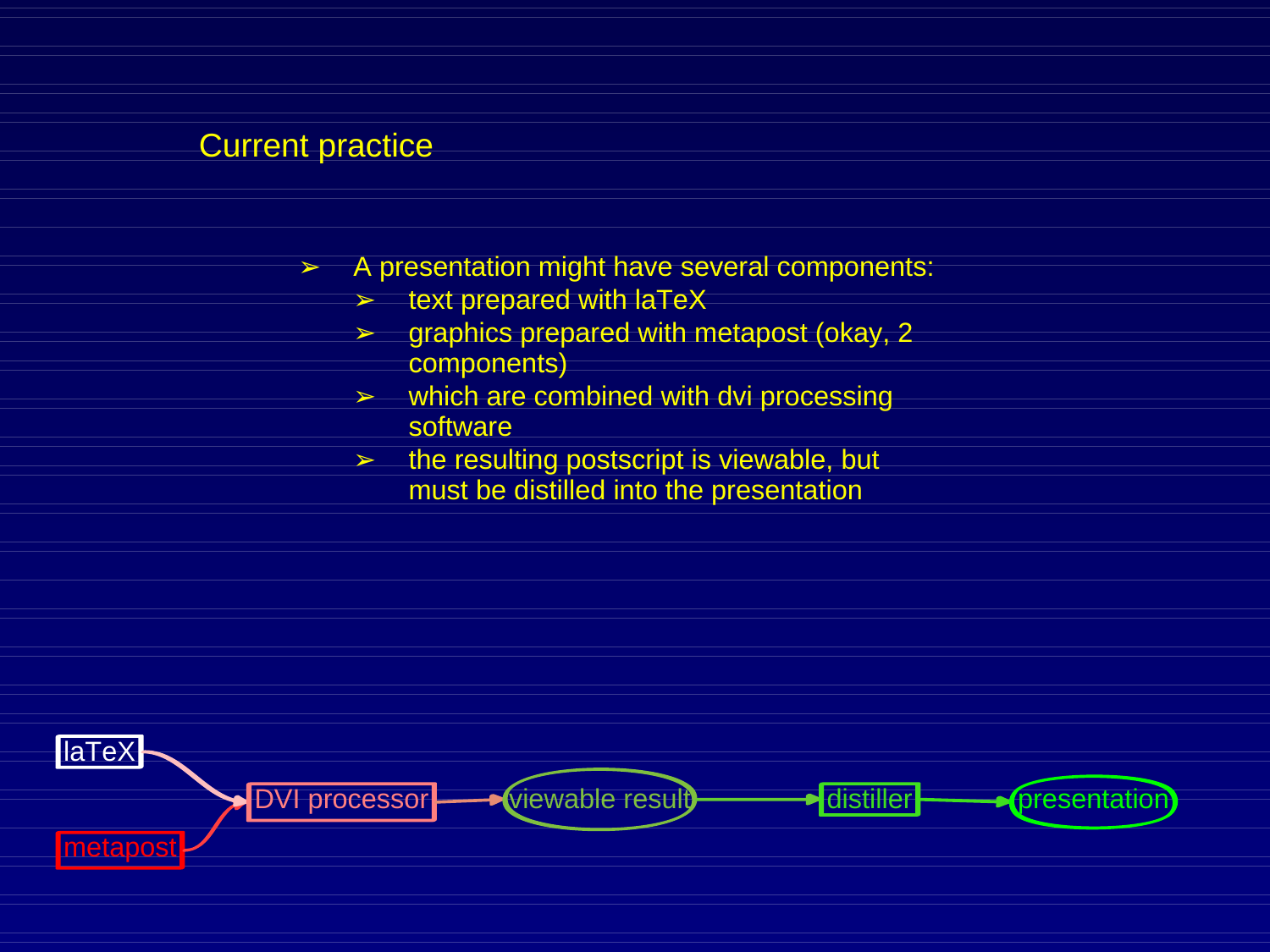- $\triangleright$  A presentation might have several components:
	- $\triangleright$  text prepared with laTeX
	- $\triangleright$  graphics prepared with metapost (okay, 2) components)
	- $\triangleright$  which are combined with dvi processing software
	- $\triangleright$  the resulting postscript is viewable, but must be distilled into the presentation

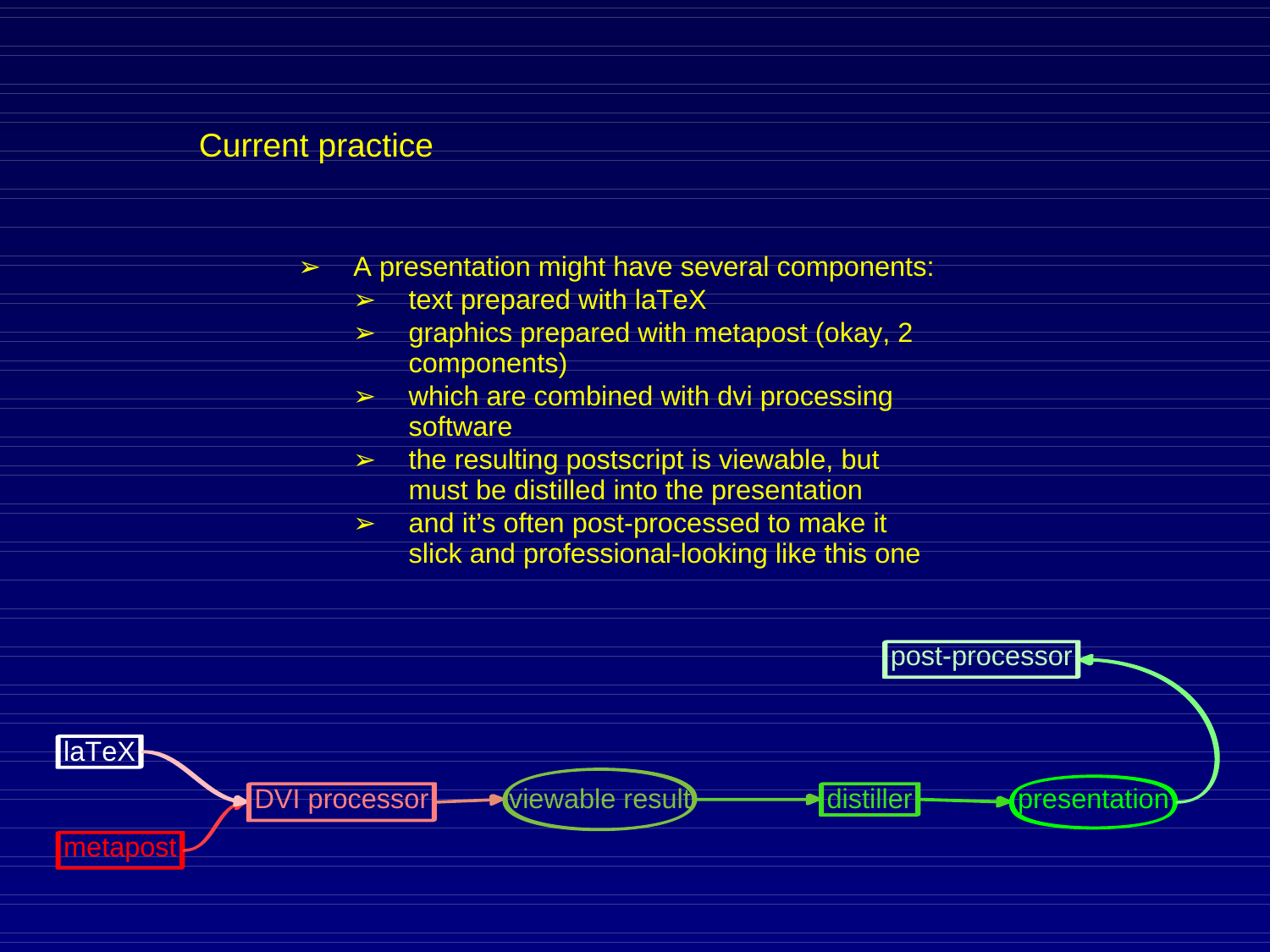- ➢ A presentation might have several components:
	- $\geq$  text prepared with laTeX
	- ➢ graphics prepared with metapost (okay, 2 components)
	- $\triangleright$  which are combined with dvi processing software
	- $\triangleright$  the resulting postscript is viewable, but must be distilled into the presentation
	- and it's often post-processed to make it slick and professional-looking like this one

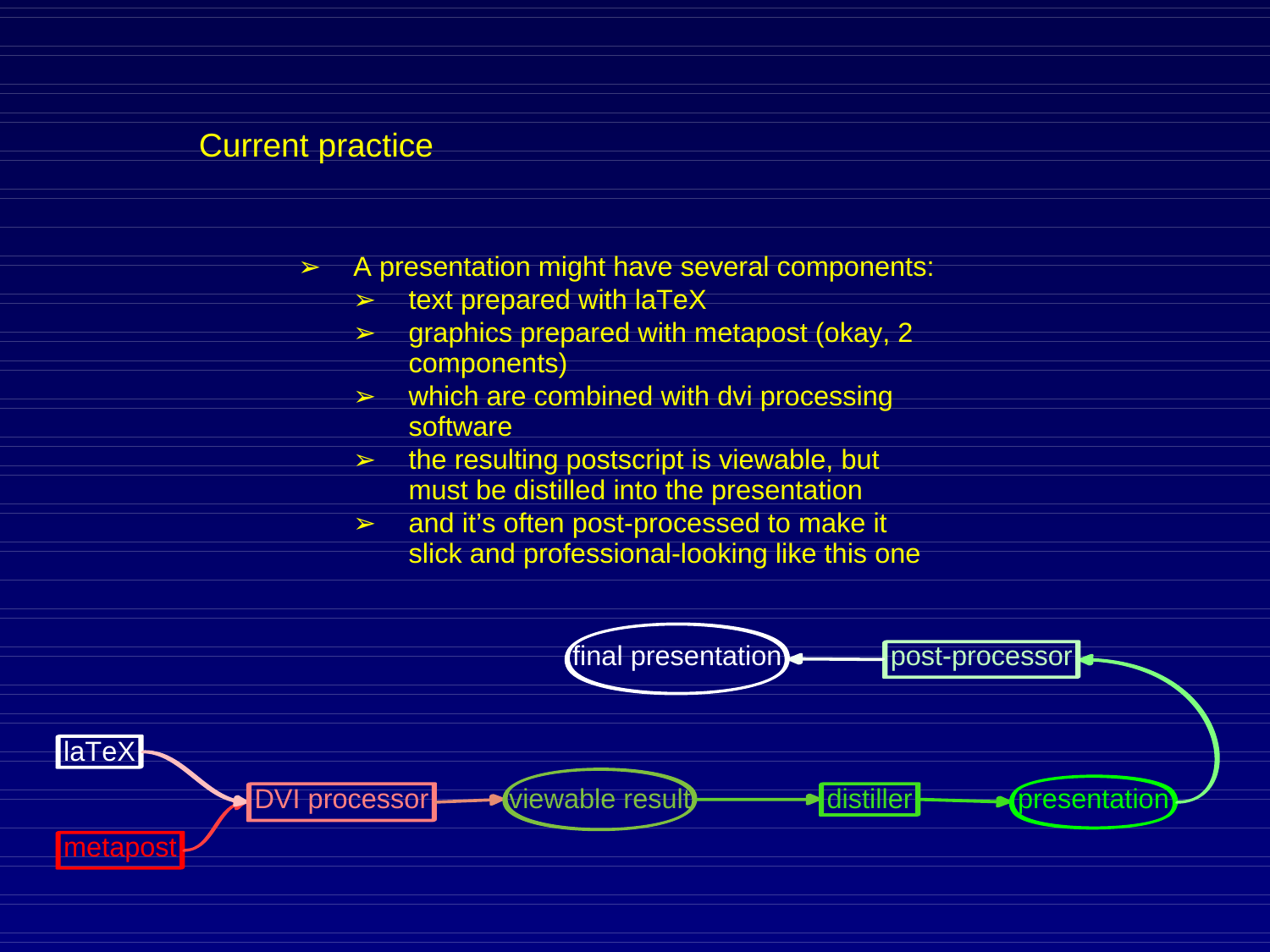- ➢ A presentation might have several components:
	- $\geq$  text prepared with laTeX
	- ➢ graphics prepared with metapost (okay, 2 components)
	- $\triangleright$  which are combined with dvi processing software
	- $\triangleright$  the resulting postscript is viewable, but must be distilled into the presentation
	- and it's often post-processed to make it slick and professional-looking like this one

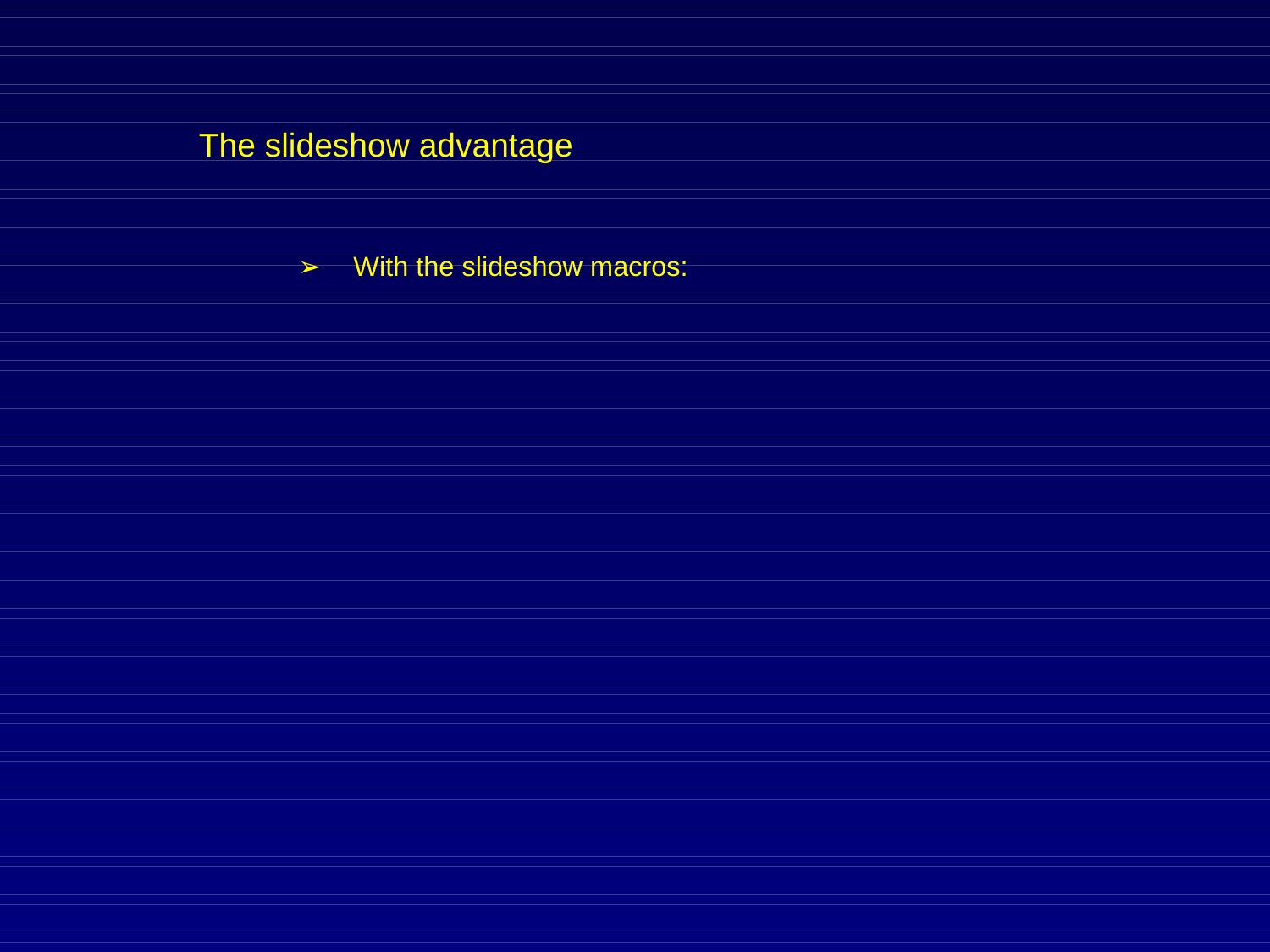$\triangleright$  With the slideshow macros: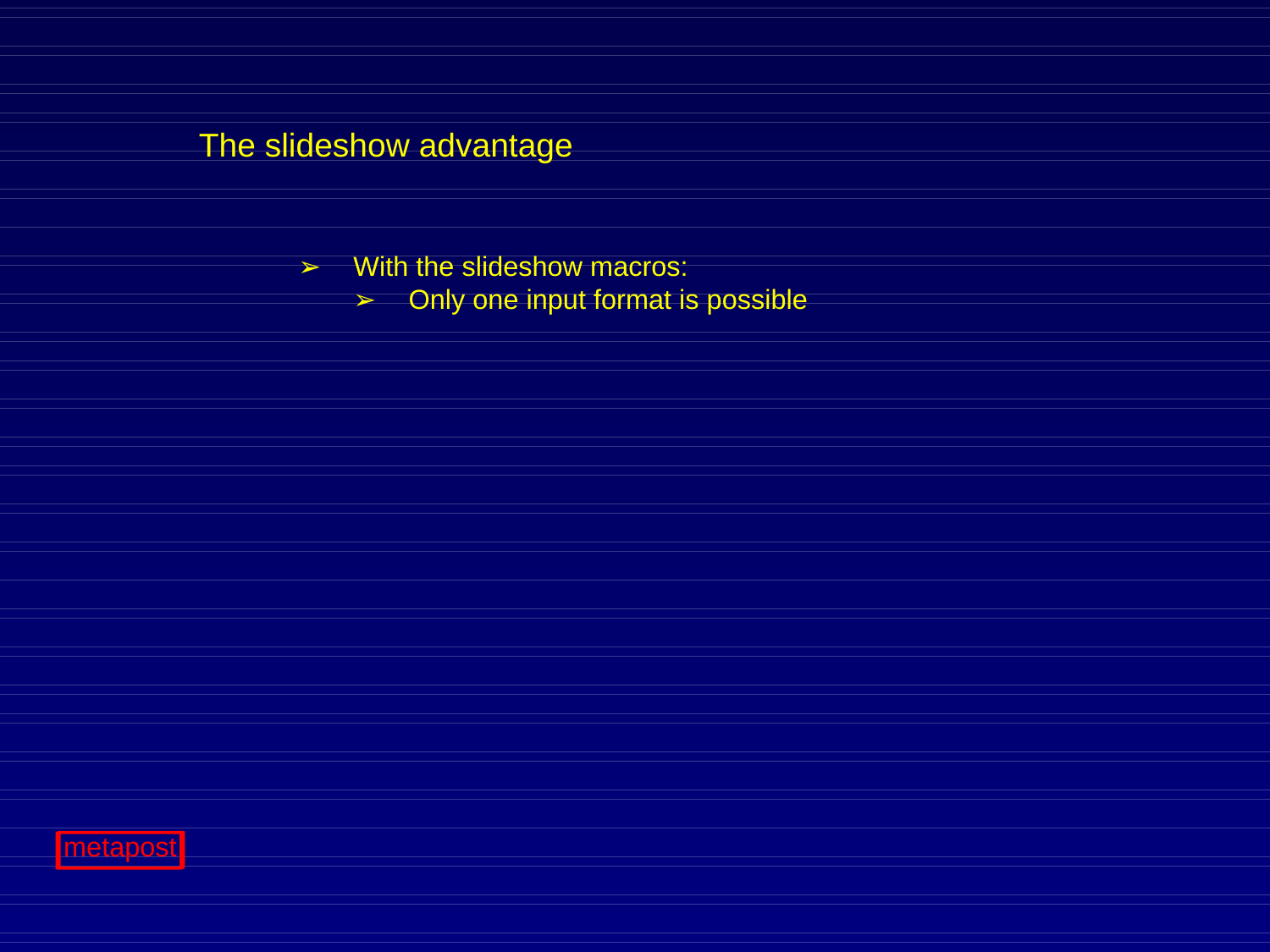$\triangleright$  With the slideshow macros:

➢ Only one input format is possible

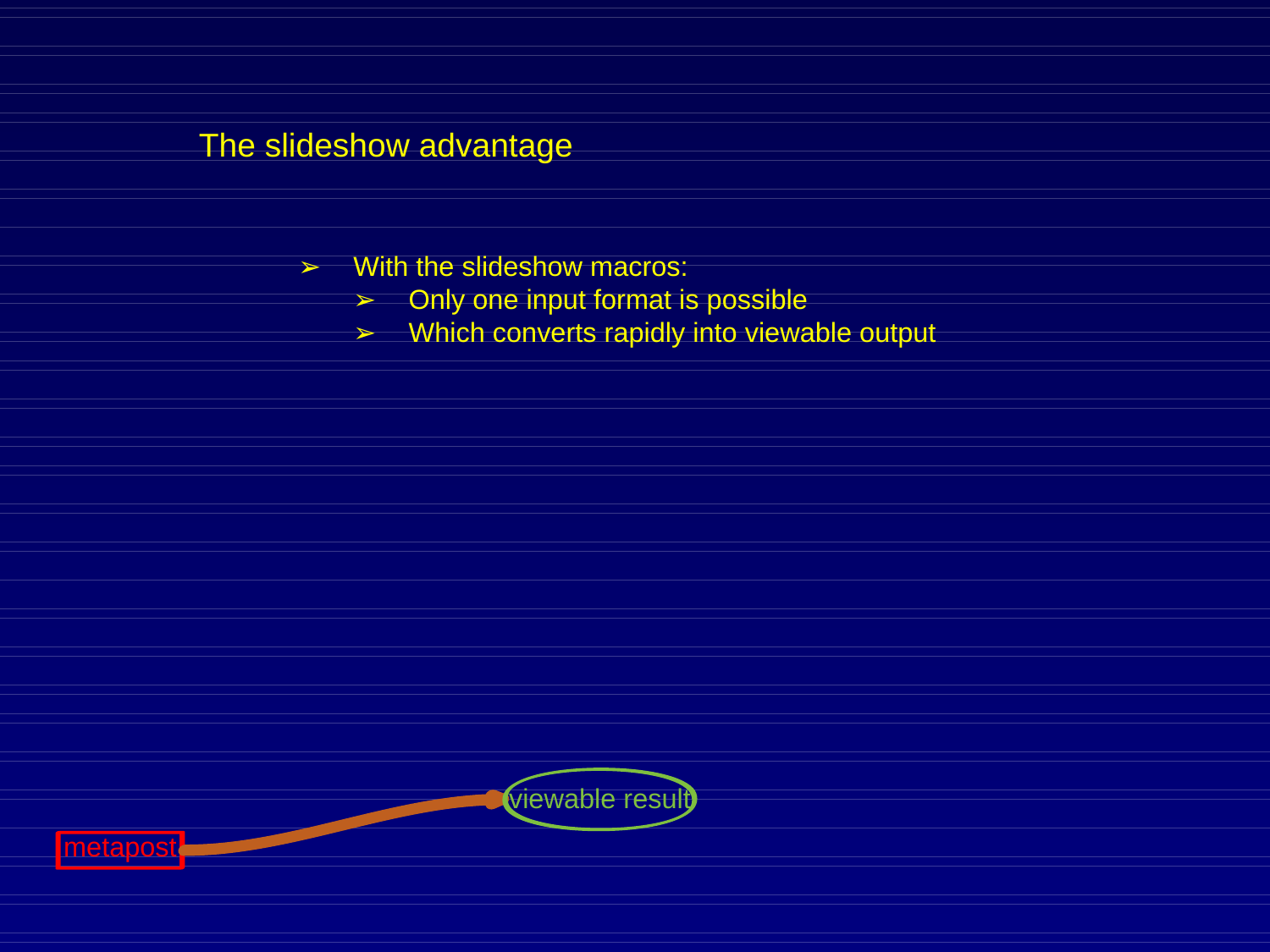- $\triangleright$  With the slideshow macros:
	- ➢ Only one input format is possible
	- ➢ Which converts rapidly into viewable output



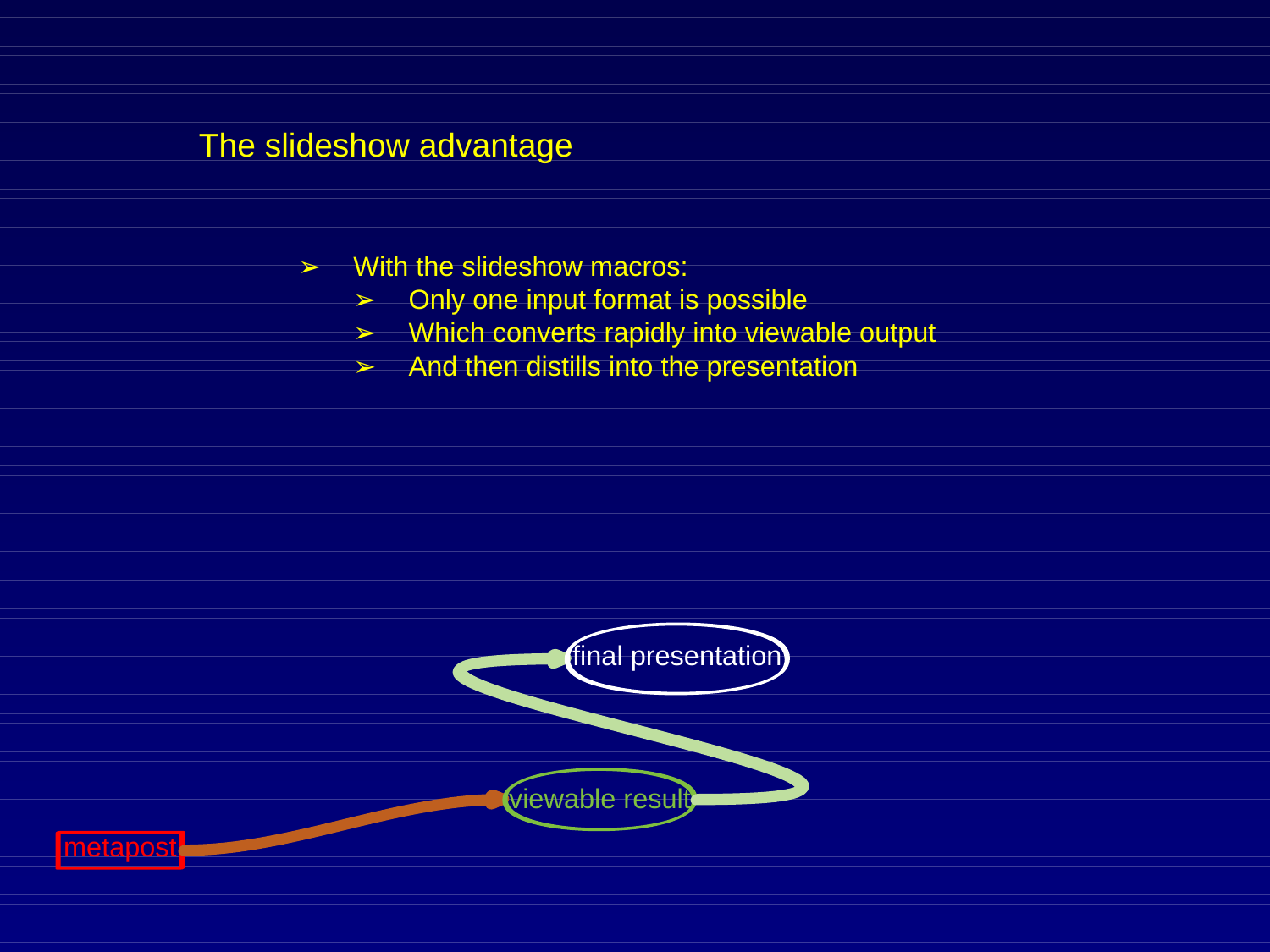- $\triangleright$  With the slideshow macros:
	- ➢ Only one input format is possible
	- ➢ Which converts rapidly into viewable output
	- $\geq$  And then distills into the presentation



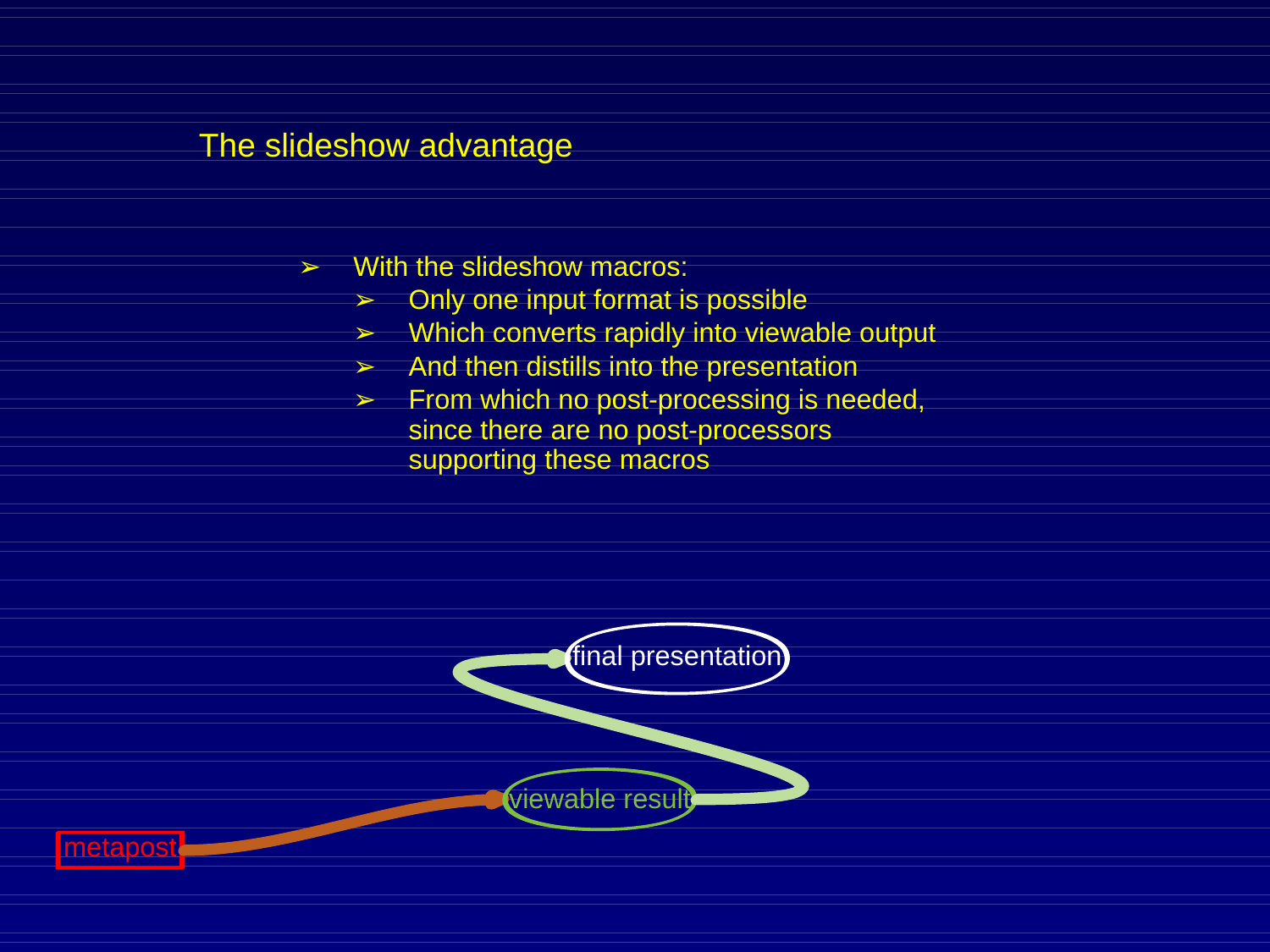- $\triangleright$  With the slideshow macros:
	- $\geq$  Only one input format is possible
	- $\triangleright$  Which converts rapidly into viewable output
	- $\geq$  And then distills into the presentation
	- ➢ From which no post-processing is needed, since there are no post-processors supporting these macros



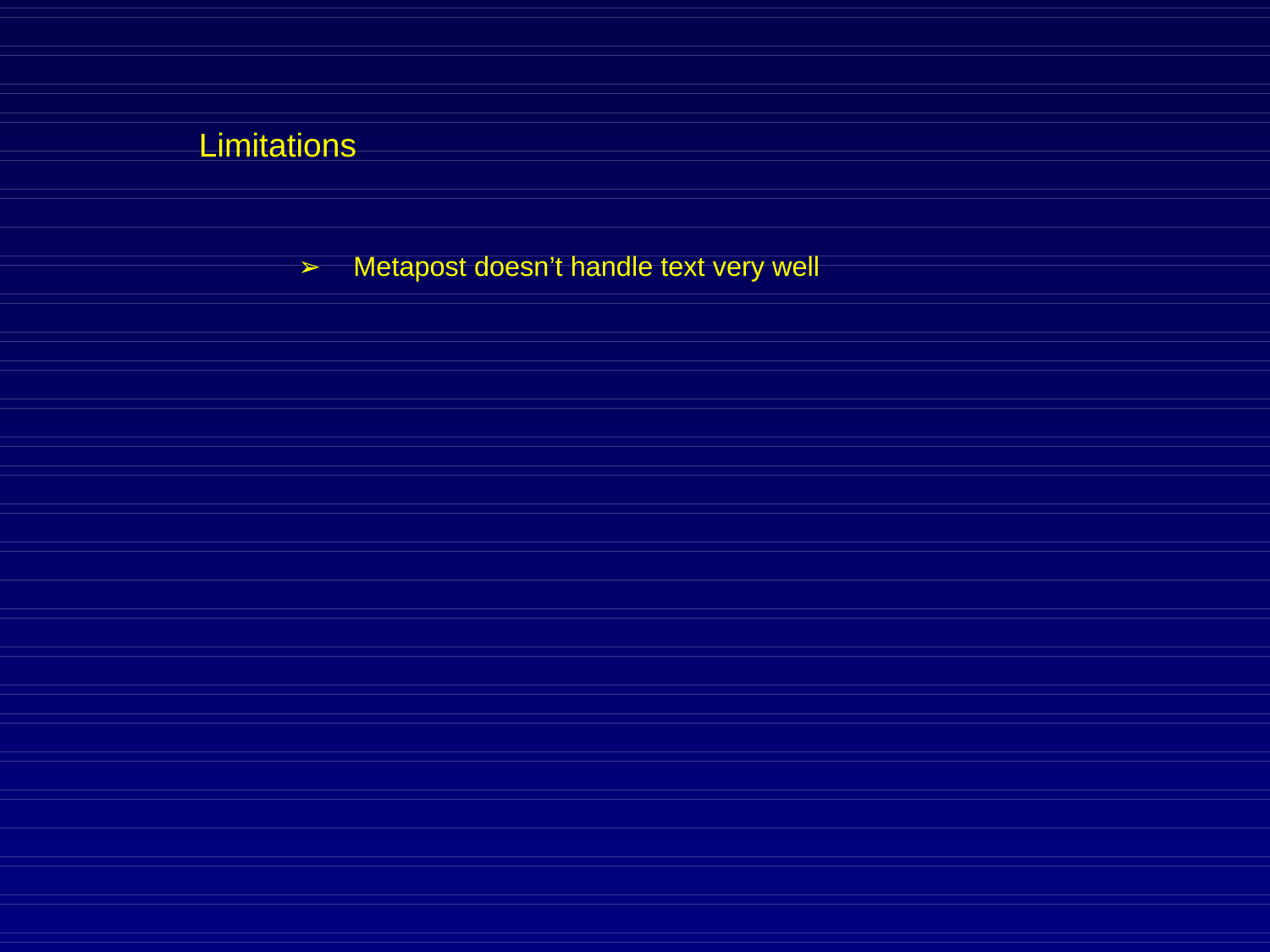➢ Metapost doesn't handle text very well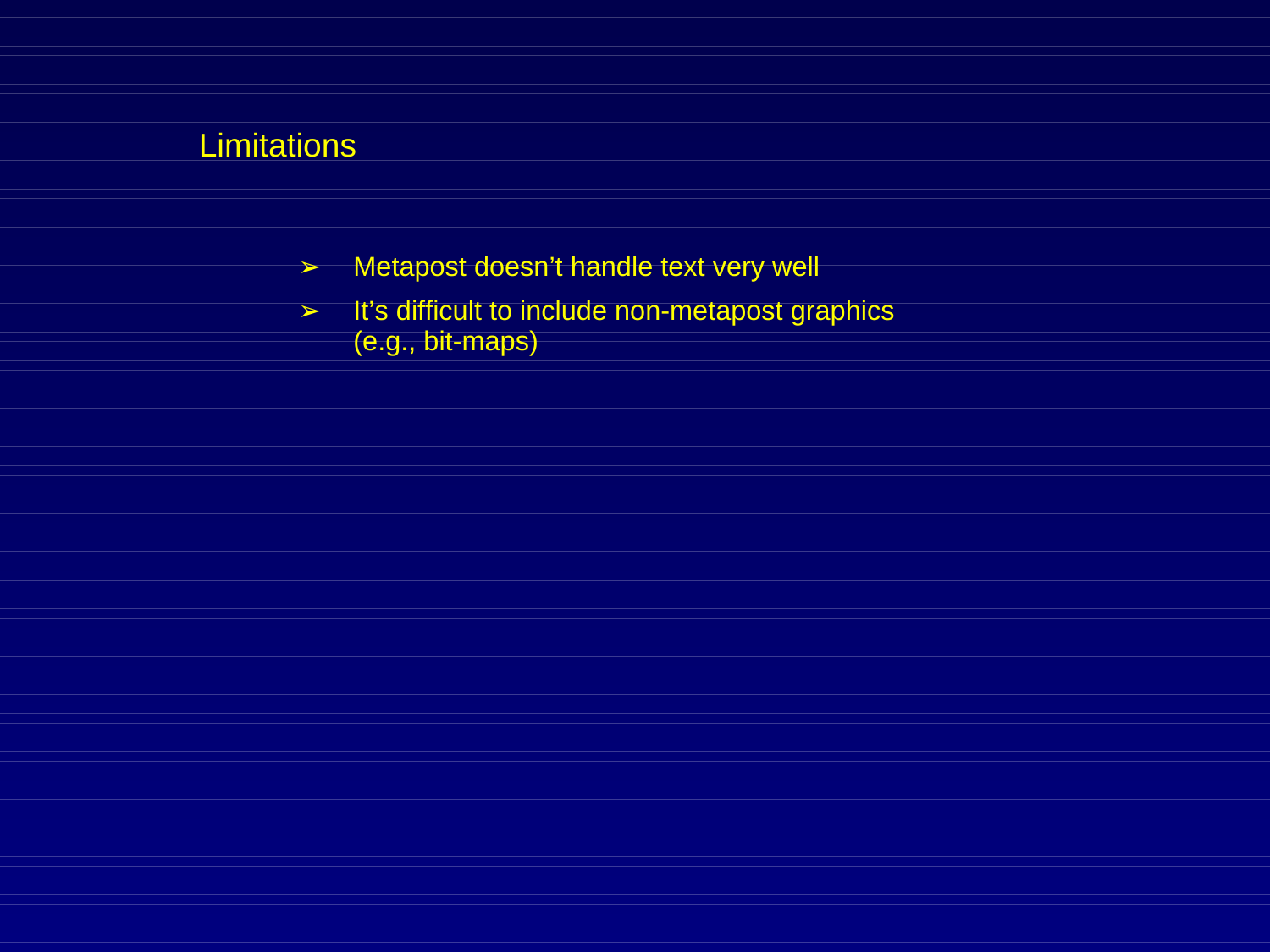- ➢ Metapost doesn't handle text very well
- ➢ It's difficult to include non-metapost graphics (e.g., bit-maps)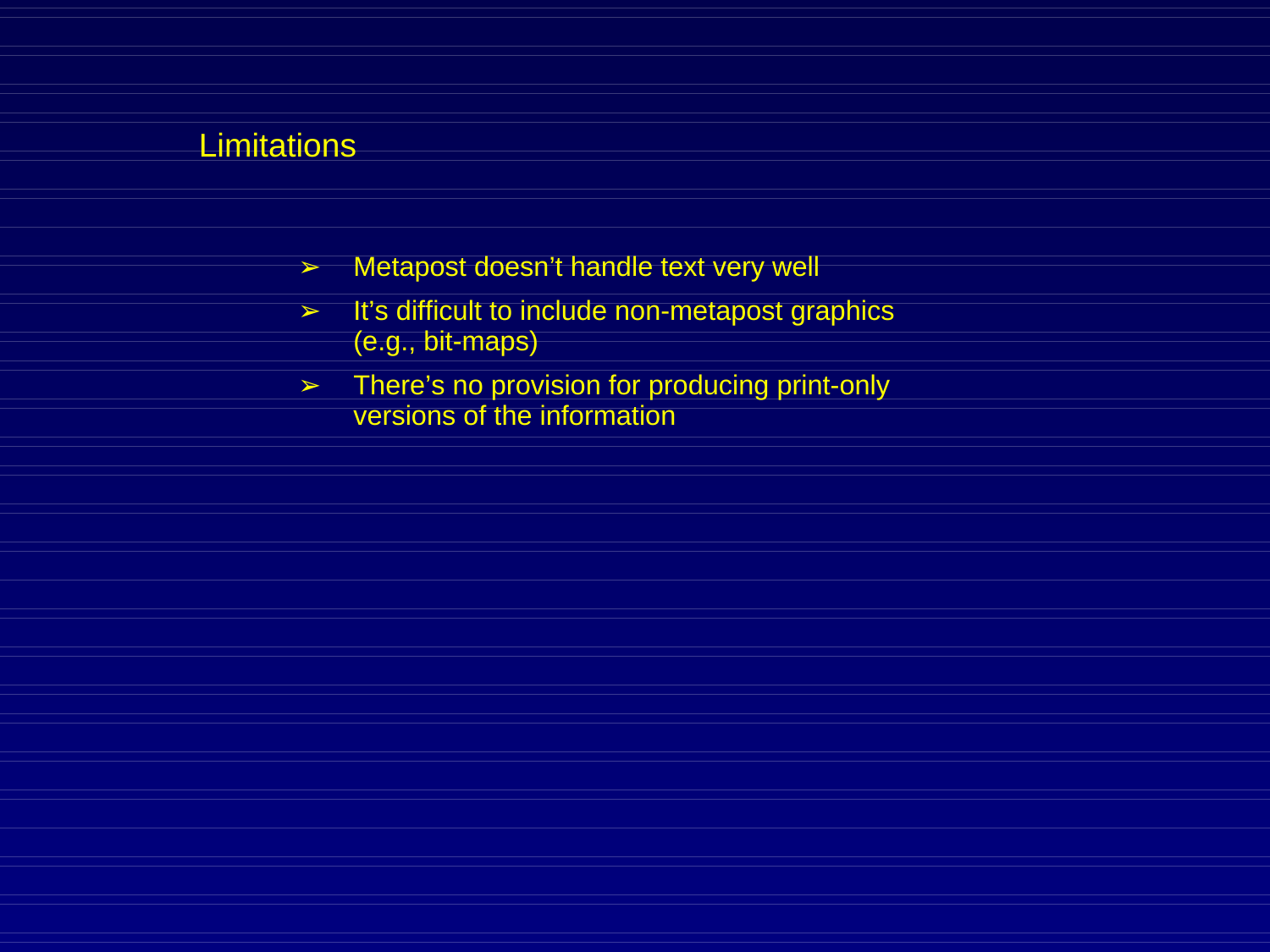- ➢ Metapost doesn't handle text very well
- ➢ It's difficult to include non-metapost graphics (e.g., bit-maps)
- ➢ There's no provision for producing print-only versions of the information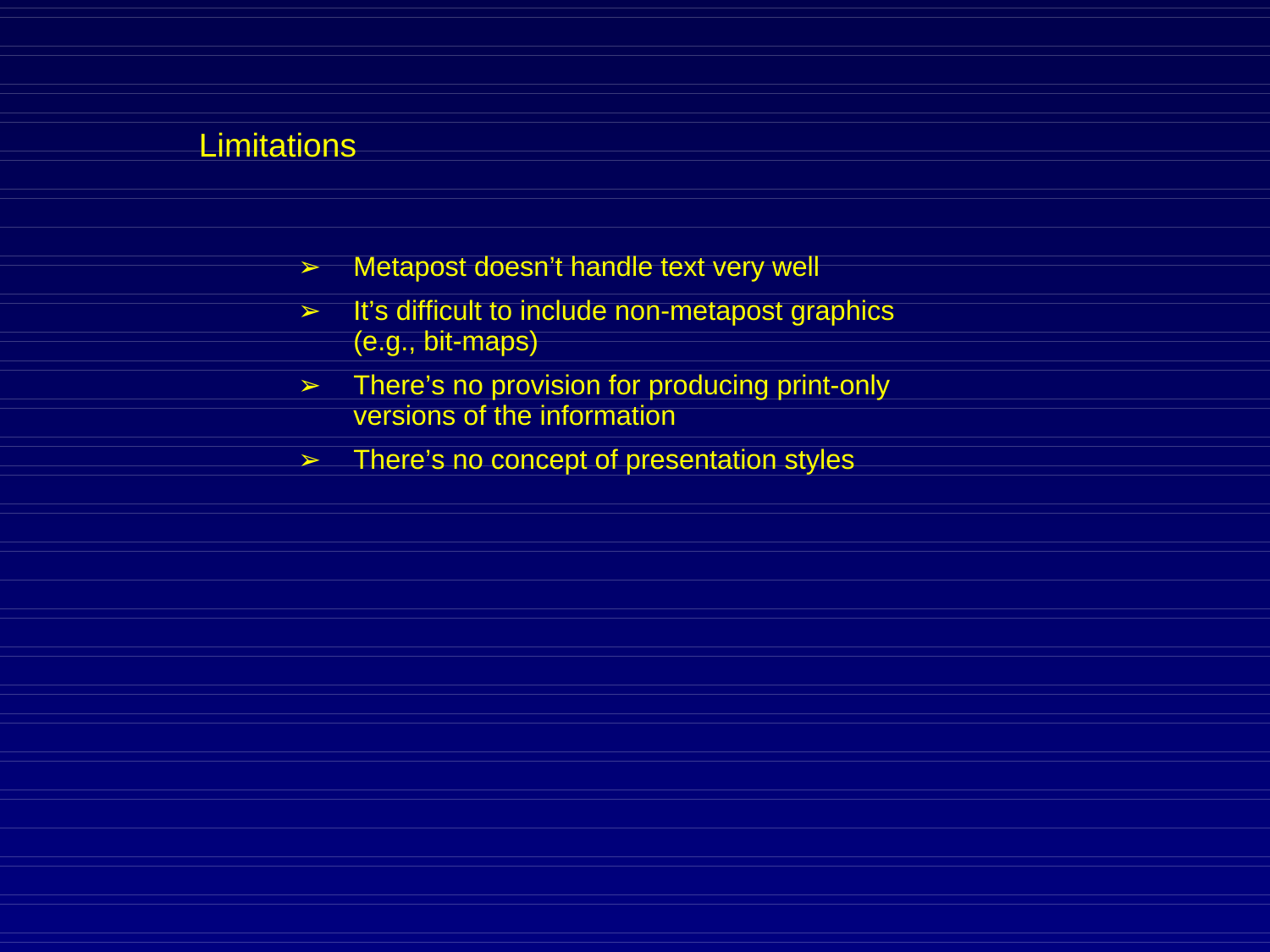- ➢ Metapost doesn't handle text very well
- ➢ It's difficult to include non-metapost graphics (e.g., bit-maps)
- ➢ There's no provision for producing print-only versions of the information
- $\triangleright$  There's no concept of presentation styles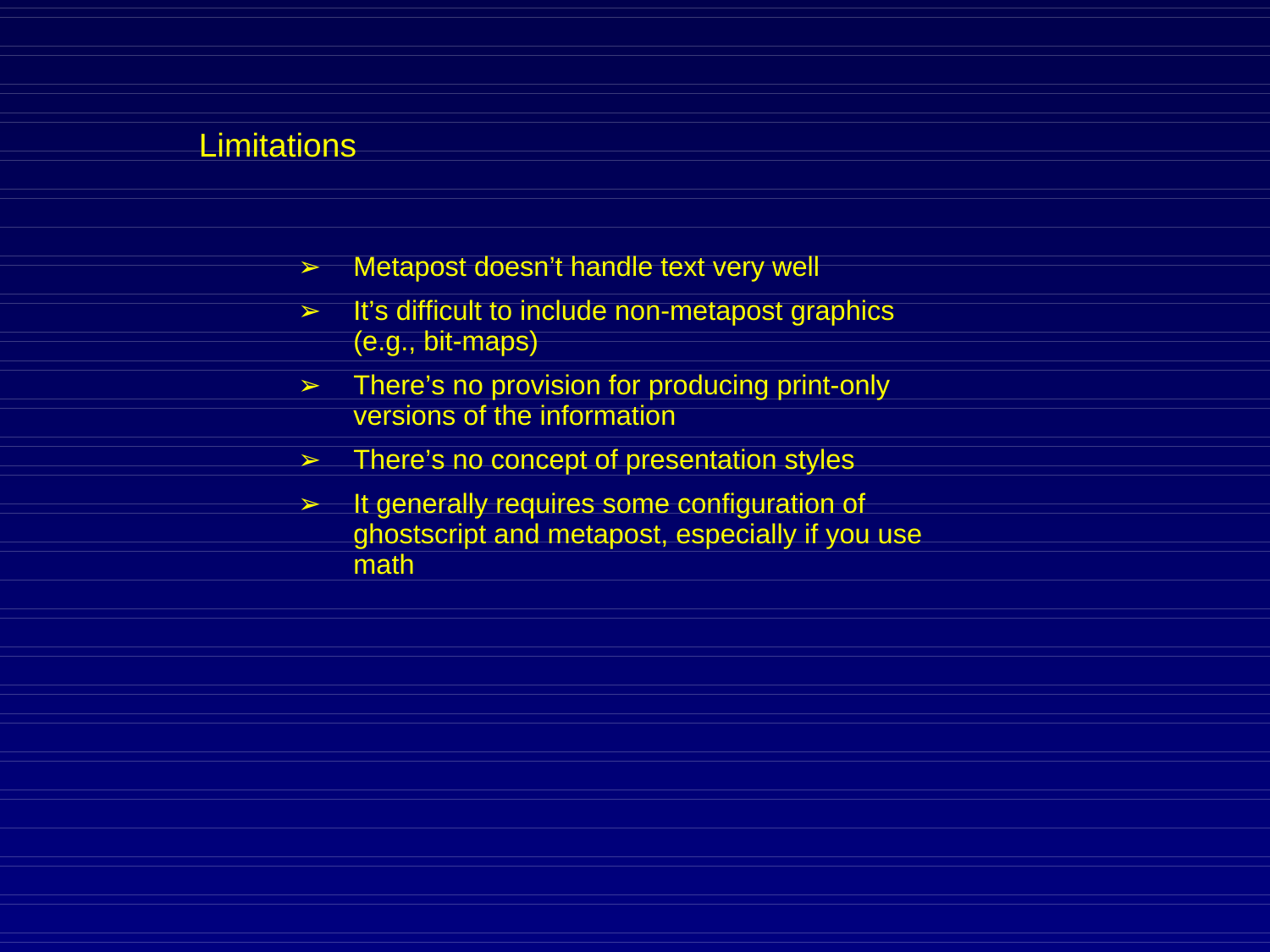- ➢ Metapost doesn't handle text very well
- ➢ It's difficult to include non-metapost graphics (e.g., bit-maps)
- ➢ There's no provision for producing print-only versions of the information
- $\triangleright$  There's no concept of presentation styles
- $\geq$  It generally requires some configuration of ghostscript and metapost, especially if you use math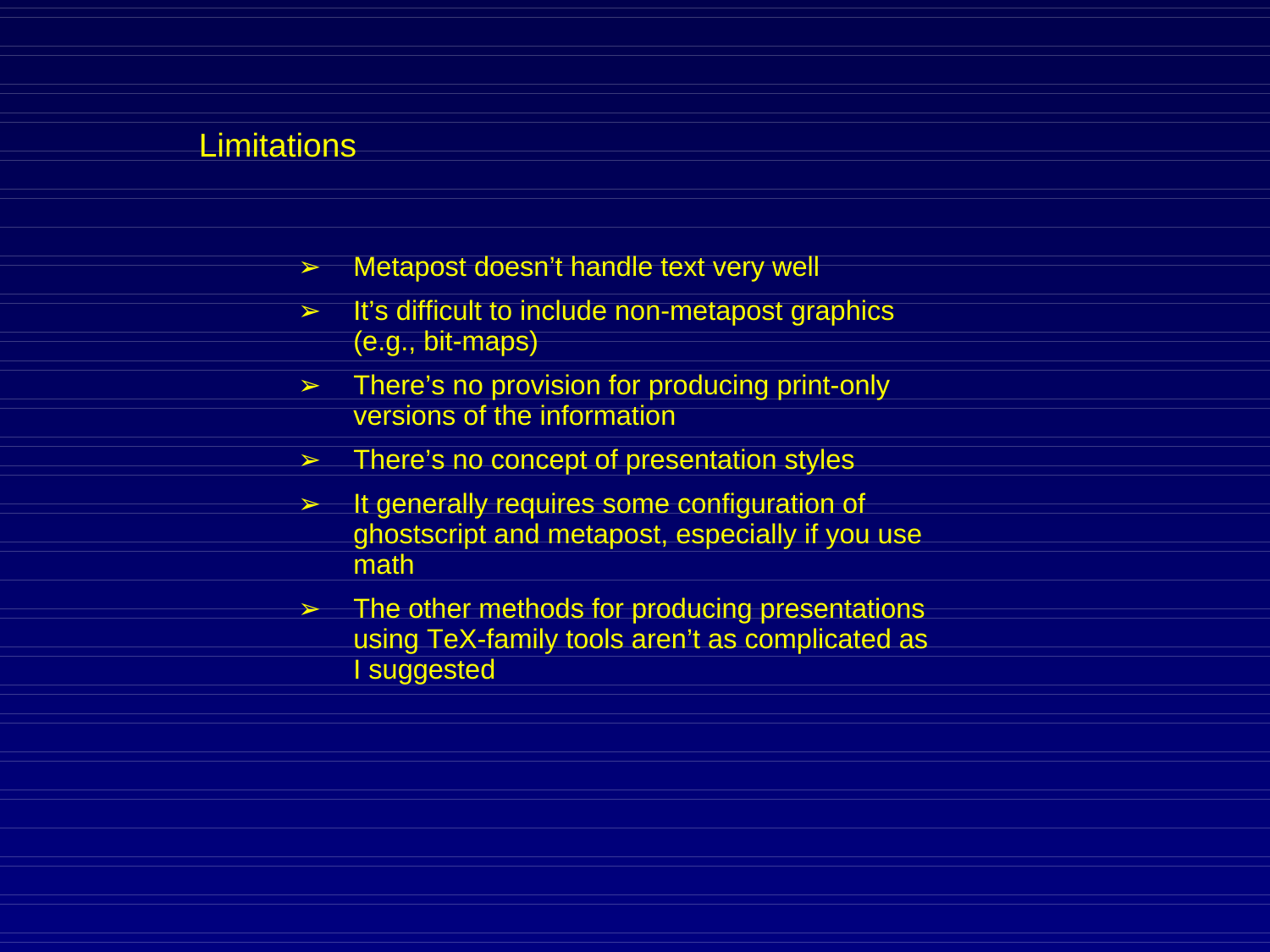- ➢ Metapost doesn't handle text very well
- ➢ It's difficult to include non-metapost graphics (e.g., bit-maps)
- ➢ There's no provision for producing print-only versions of the information
- $\geq$  There's no concept of presentation styles
- $\geq$  It generally requires some configuration of ghostscript and metapost, especially if you use math
- $\geq$  The other methods for producing presentations using TeX-family tools aren't as complicated as I suggested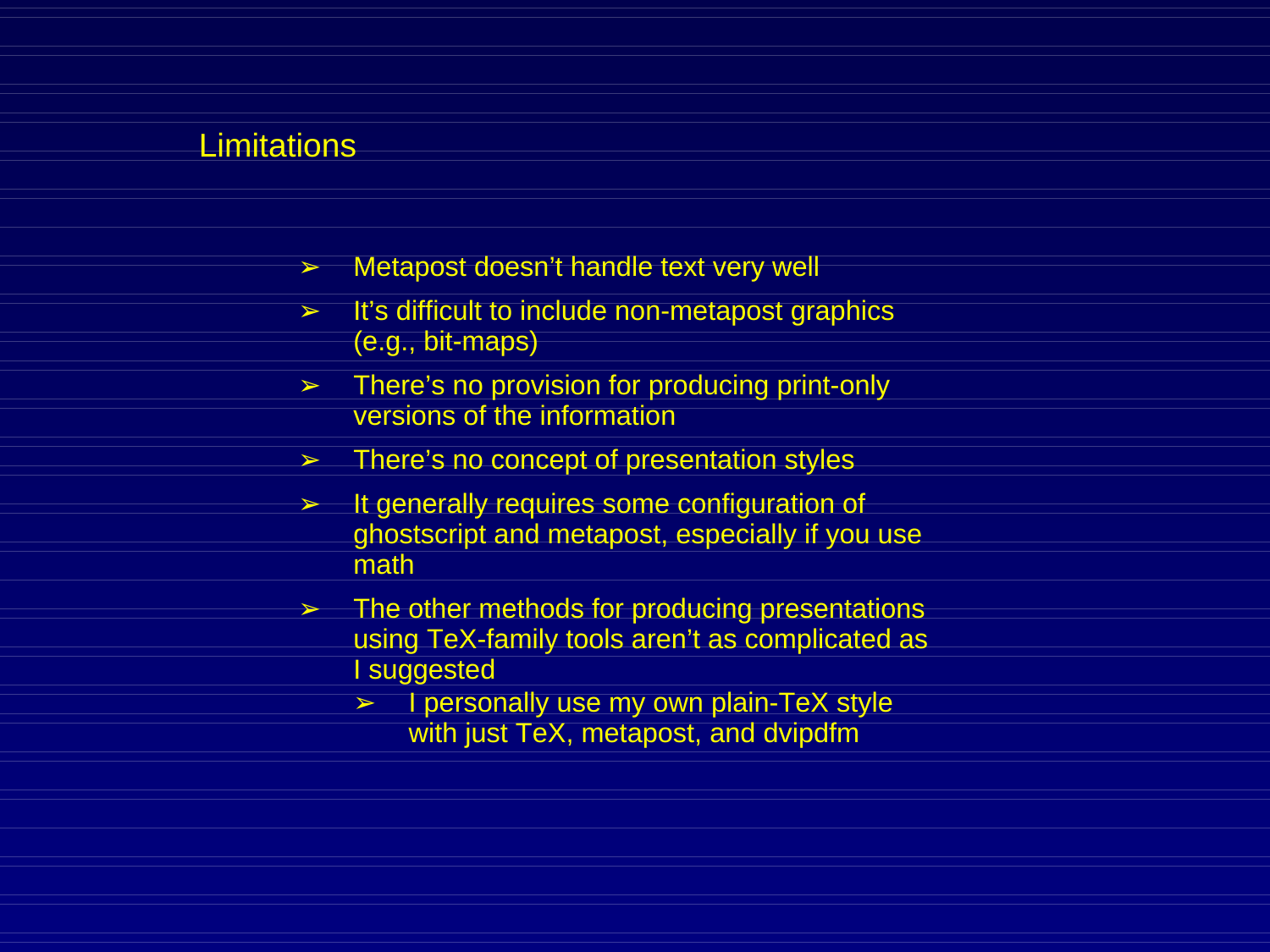- ➢ Metapost doesn't handle text very well
- $\geq$  It's difficult to include non-metapost graphics (e.g., bit-maps)
- ➢ There's no provision for producing print-only versions of the information
- $\geq$  There's no concept of presentation styles
- $\geq$  It generally requires some configuration of ghostscript and metapost, especially if you use math
- $\geq$  The other methods for producing presentations using TeX-family tools aren't as complicated as I suggested
	- ➢ I personally use my own plain-TeX style with just TeX, metapost, and dvipdfm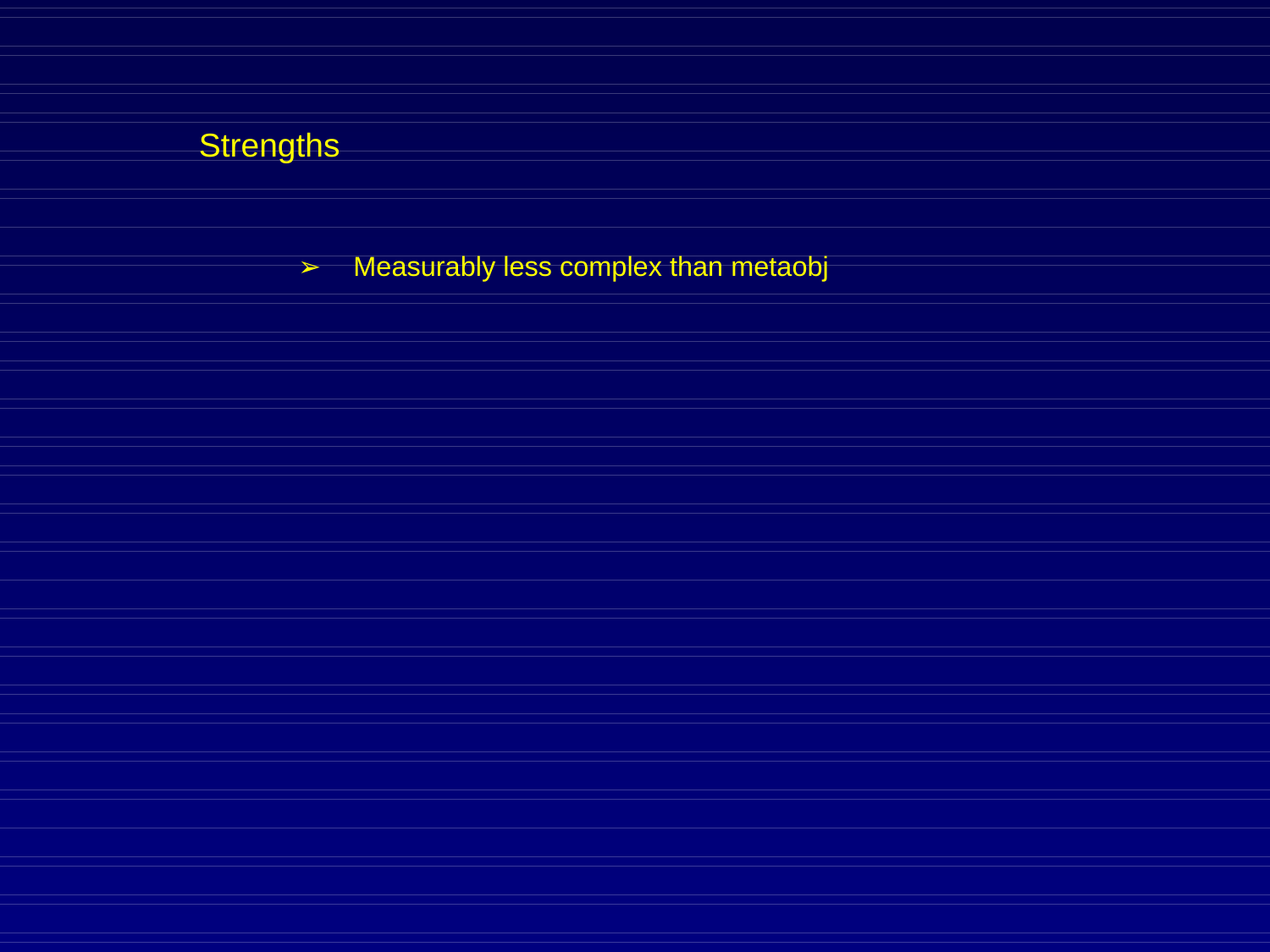➢ Measurably less complex than metaobj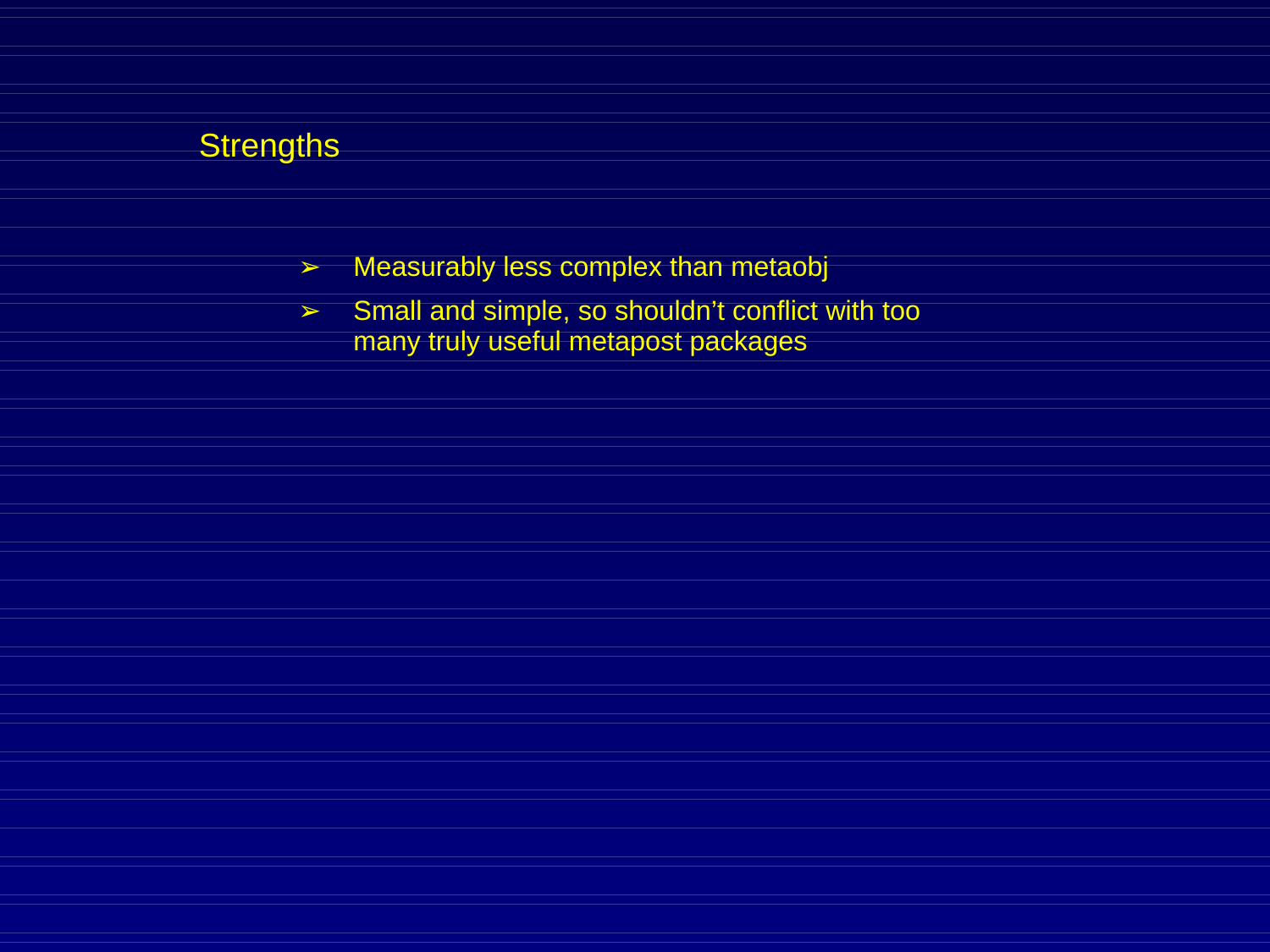- $\geq$  Measurably less complex than metaobj
- ➢ Small and simple, so shouldn't conflict with too many truly useful metapost packages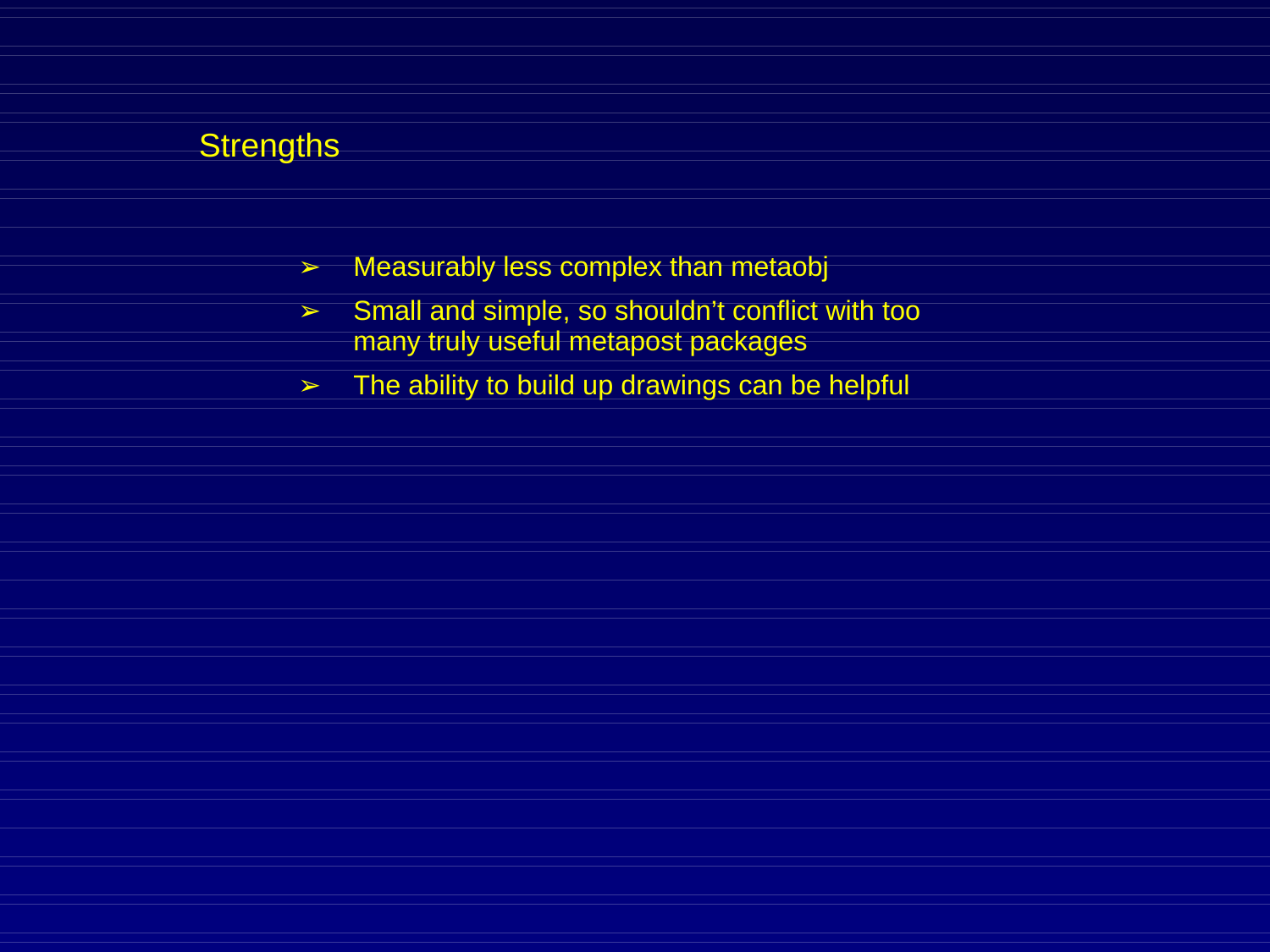- $\triangleright$  Measurably less complex than metaobj
- ➢ Small and simple, so shouldn't conflict with too many truly useful metapost packages
- $\geq$  The ability to build up drawings can be helpful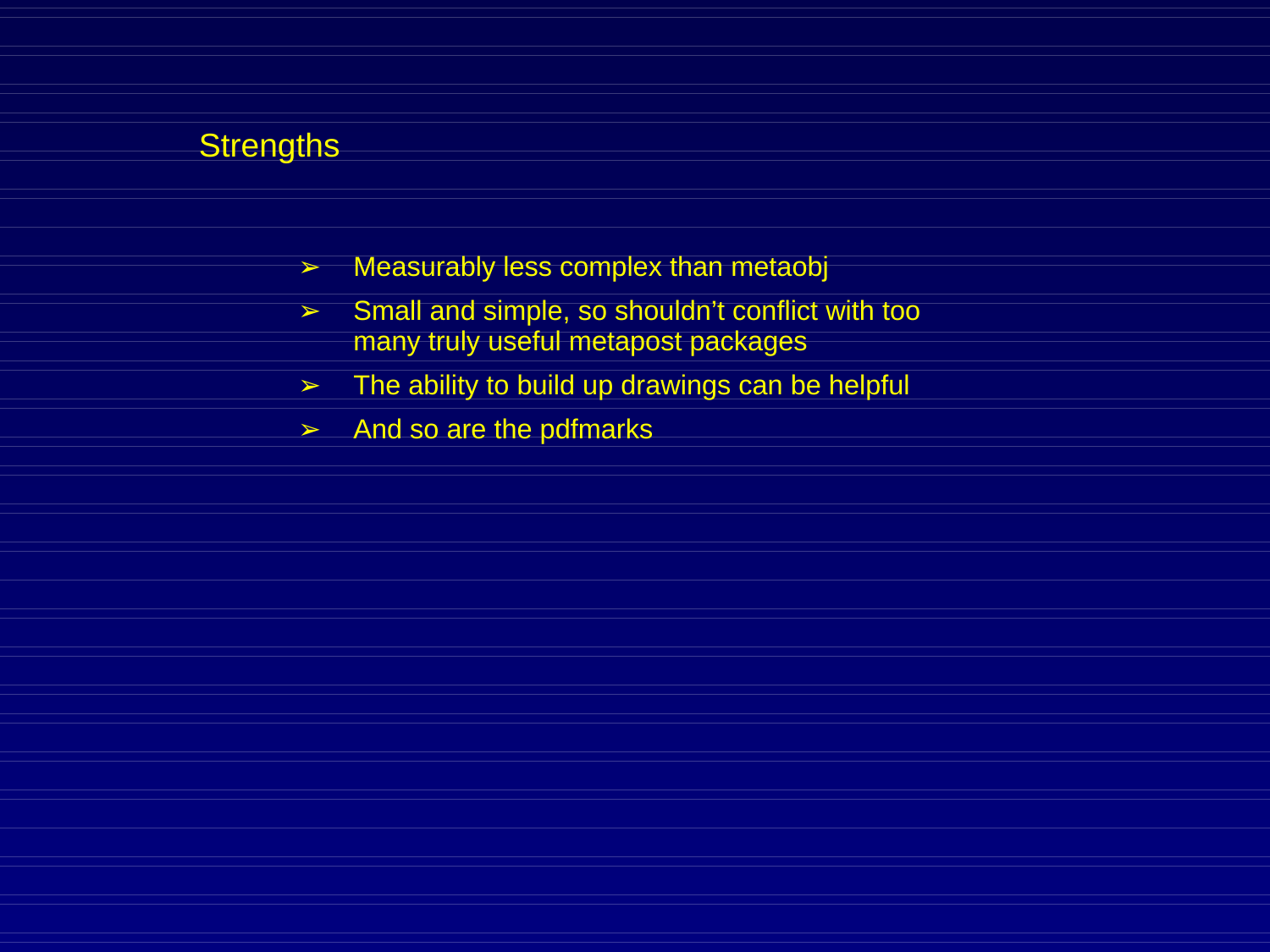- $\triangleright$  Measurably less complex than metaobj
- ➢ Small and simple, so shouldn't conflict with too many truly useful metapost packages
- $\geq$  The ability to build up drawings can be helpful
- $\geq$  And so are the pdfmarks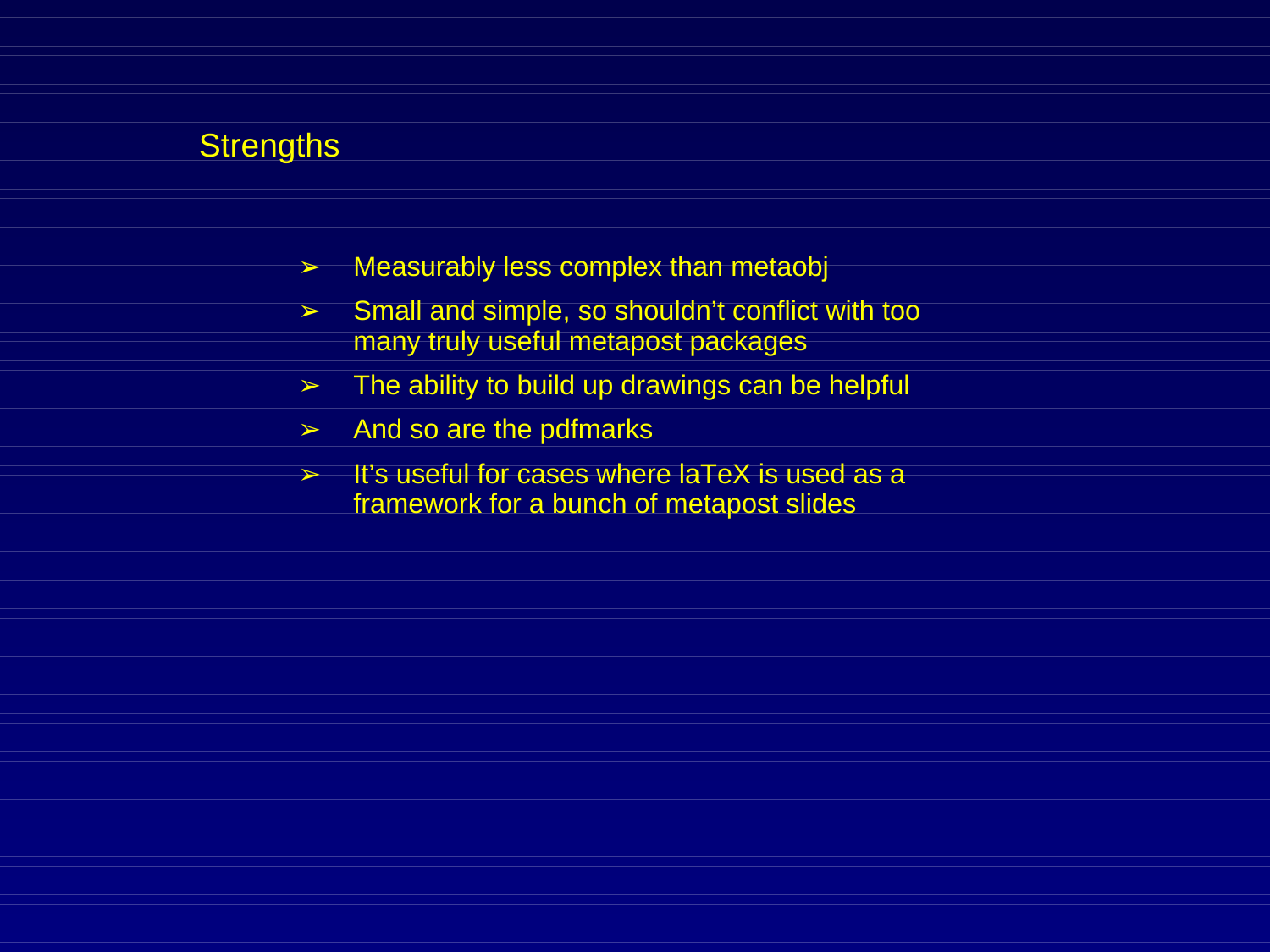- $\triangleright$  Measurably less complex than metaobj
- ➢ Small and simple, so shouldn't conflict with too many truly useful metapost packages
- $\geq$  The ability to build up drawings can be helpful
- $\geq$  And so are the pdfmarks
- $\geq$  It's useful for cases where laTeX is used as a framework for a bunch of metapost slides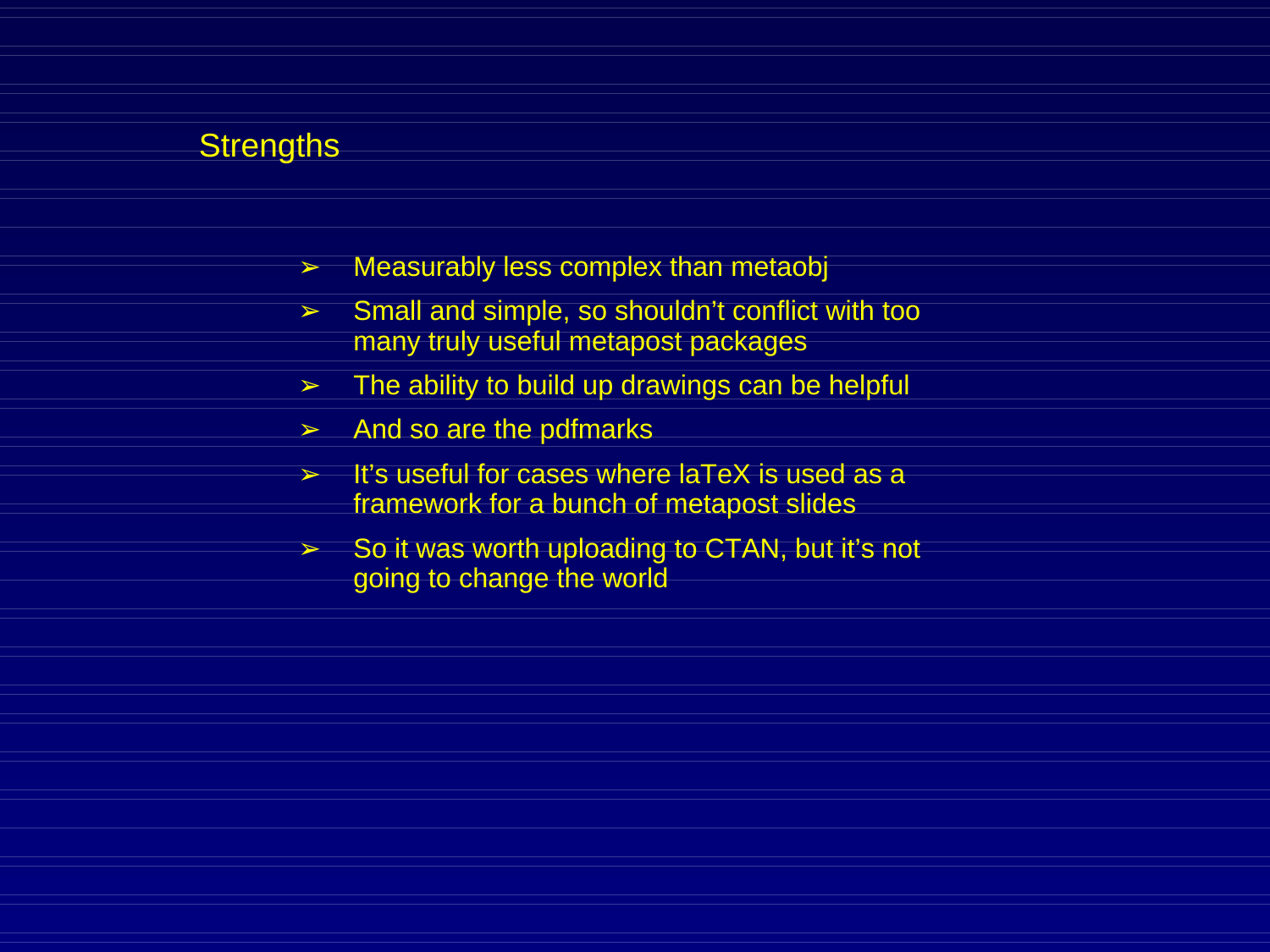- $\triangleright$  Measurably less complex than metaobj
- ➢ Small and simple, so shouldn't conflict with too many truly useful metapost packages
- $\geq$  The ability to build up drawings can be helpful
- $\geq$  And so are the pdfmarks
- > It's useful for cases where laTeX is used as a framework for a bunch of metapost slides
- $>$  So it was worth uploading to CTAN, but it's not going to change the world